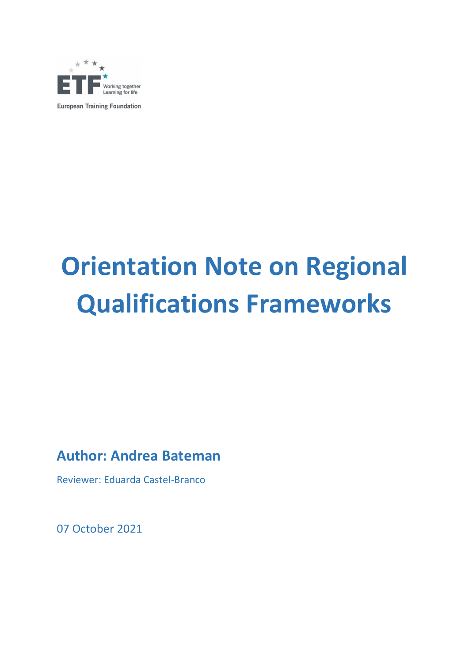

**European Training Foundation** 

# **Orientation Note on Regional Qualifications Frameworks**

# **Author: Andrea Bateman**

Reviewer: Eduarda Castel-Branco

07 October 2021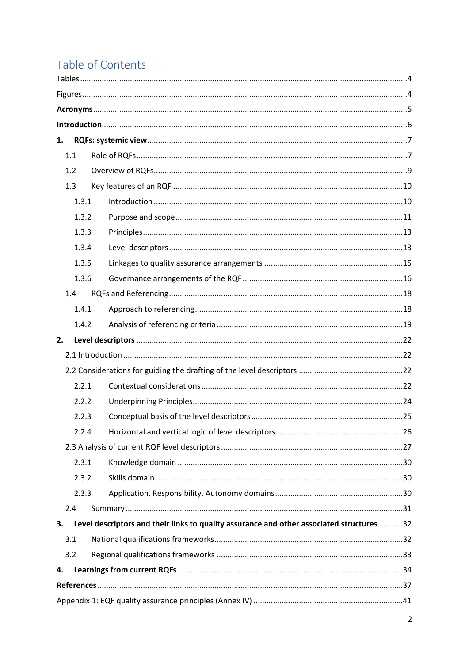# Table of Contents

| 1. |       |                                                                                           |  |
|----|-------|-------------------------------------------------------------------------------------------|--|
|    | 1.1   |                                                                                           |  |
|    | 1.2   |                                                                                           |  |
|    | 1.3   |                                                                                           |  |
|    | 1.3.1 |                                                                                           |  |
|    | 1.3.2 |                                                                                           |  |
|    | 1.3.3 |                                                                                           |  |
|    | 1.3.4 |                                                                                           |  |
|    | 1.3.5 |                                                                                           |  |
|    | 1.3.6 |                                                                                           |  |
|    | 1.4   |                                                                                           |  |
|    | 1.4.1 |                                                                                           |  |
|    | 1.4.2 |                                                                                           |  |
| 2. |       |                                                                                           |  |
|    |       |                                                                                           |  |
|    |       |                                                                                           |  |
|    | 2.2.1 |                                                                                           |  |
|    | 2.2.2 |                                                                                           |  |
|    | 2.2.3 |                                                                                           |  |
|    | 2.2.4 |                                                                                           |  |
|    |       |                                                                                           |  |
|    | 2.3.1 |                                                                                           |  |
|    | 2.3.2 |                                                                                           |  |
|    | 2.3.3 |                                                                                           |  |
|    | 2.4   |                                                                                           |  |
| 3. |       | Level descriptors and their links to quality assurance and other associated structures 32 |  |
|    | 3.1   |                                                                                           |  |
|    | 3.2   |                                                                                           |  |
| 4. |       |                                                                                           |  |
|    |       |                                                                                           |  |
|    |       |                                                                                           |  |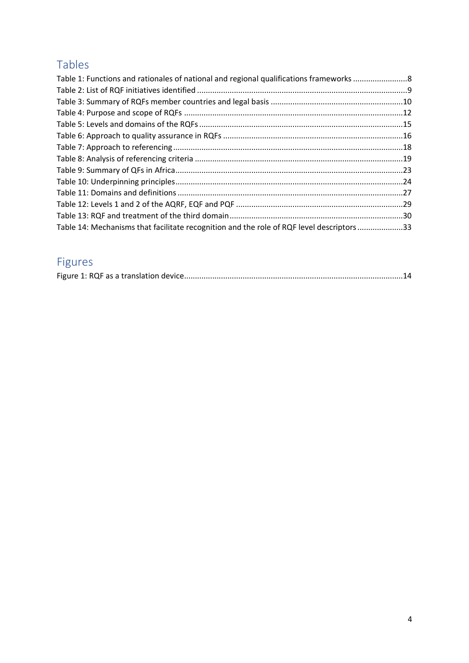# <span id="page-3-0"></span>Tables

| Table 1: Functions and rationales of national and regional qualifications frameworks 8    |  |
|-------------------------------------------------------------------------------------------|--|
|                                                                                           |  |
|                                                                                           |  |
|                                                                                           |  |
|                                                                                           |  |
|                                                                                           |  |
|                                                                                           |  |
|                                                                                           |  |
|                                                                                           |  |
|                                                                                           |  |
|                                                                                           |  |
|                                                                                           |  |
|                                                                                           |  |
| Table 14: Mechanisms that facilitate recognition and the role of RQF level descriptors 33 |  |

# <span id="page-3-1"></span>Figures

|--|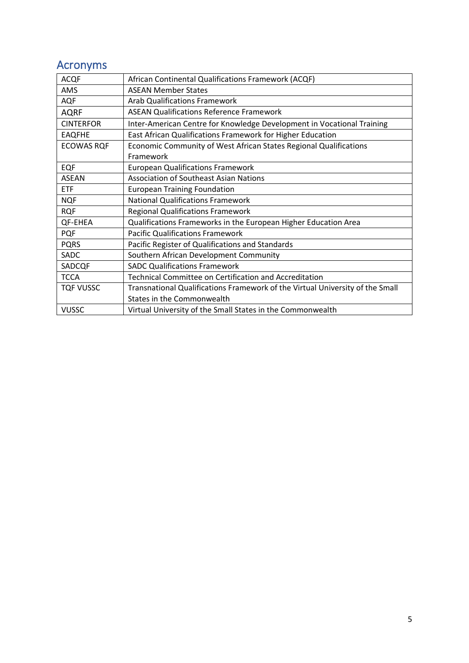# <span id="page-4-0"></span>Acronyms

| <b>ACQF</b>       | African Continental Qualifications Framework (ACQF)                           |
|-------------------|-------------------------------------------------------------------------------|
| AMS               | <b>ASEAN Member States</b>                                                    |
| AQF               | <b>Arab Qualifications Framework</b>                                          |
| <b>AQRF</b>       | <b>ASEAN Qualifications Reference Framework</b>                               |
| <b>CINTERFOR</b>  | Inter-American Centre for Knowledge Development in Vocational Training        |
| <b>EAQFHE</b>     | East African Qualifications Framework for Higher Education                    |
| <b>ECOWAS RQF</b> | Economic Community of West African States Regional Qualifications             |
|                   | Framework                                                                     |
| <b>EQF</b>        | <b>European Qualifications Framework</b>                                      |
| <b>ASEAN</b>      | <b>Association of Southeast Asian Nations</b>                                 |
| <b>ETF</b>        | <b>European Training Foundation</b>                                           |
| <b>NQF</b>        | <b>National Qualifications Framework</b>                                      |
| <b>RQF</b>        | <b>Regional Qualifications Framework</b>                                      |
| QF-EHEA           | Qualifications Frameworks in the European Higher Education Area               |
| <b>PQF</b>        | <b>Pacific Qualifications Framework</b>                                       |
| <b>PQRS</b>       | Pacific Register of Qualifications and Standards                              |
| <b>SADC</b>       | Southern African Development Community                                        |
| SADCQF            | <b>SADC Qualifications Framework</b>                                          |
| <b>TCCA</b>       | Technical Committee on Certification and Accreditation                        |
| <b>TQF VUSSC</b>  | Transnational Qualifications Framework of the Virtual University of the Small |
|                   | States in the Commonwealth                                                    |
| <b>VUSSC</b>      | Virtual University of the Small States in the Commonwealth                    |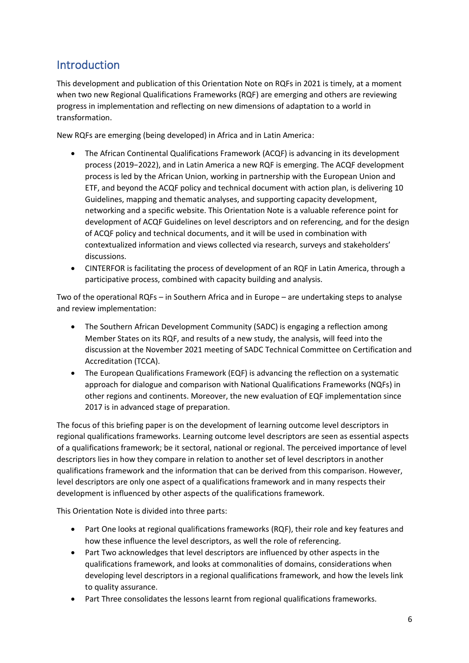### <span id="page-5-0"></span>**Introduction**

This development and publication of this Orientation Note on RQFs in 2021 is timely, at a moment when two new Regional Qualifications Frameworks (RQF) are emerging and others are reviewing progress in implementation and reflecting on new dimensions of adaptation to a world in transformation.

New RQFs are emerging (being developed) in Africa and in Latin America:

- The African Continental Qualifications Framework (ACQF) is advancing in its development process (2019−2022), and in Latin America a new RQF is emerging. The ACQF development process is led by the African Union, working in partnership with the European Union and ETF, and beyond the ACQF policy and technical document with action plan, is delivering 10 Guidelines, mapping and thematic analyses, and supporting capacity development, networking and a specific website. This Orientation Note is a valuable reference point for development of ACQF Guidelines on level descriptors and on referencing, and for the design of ACQF policy and technical documents, and it will be used in combination with contextualized information and views collected via research, surveys and stakeholders' discussions.
- CINTERFOR is facilitating the process of development of an RQF in Latin America, through a participative process, combined with capacity building and analysis.

Two of the operational RQFs – in Southern Africa and in Europe – are undertaking steps to analyse and review implementation:

- The Southern African Development Community (SADC) is engaging a reflection among Member States on its RQF, and results of a new study, the analysis, will feed into the discussion at the November 2021 meeting of SADC Technical Committee on Certification and Accreditation (TCCA).
- The European Qualifications Framework (EQF) is advancing the reflection on a systematic approach for dialogue and comparison with National Qualifications Frameworks (NQFs) in other regions and continents. Moreover, the new evaluation of EQF implementation since 2017 is in advanced stage of preparation.

The focus of this briefing paper is on the development of learning outcome level descriptors in regional qualifications frameworks. Learning outcome level descriptors are seen as essential aspects of a qualifications framework; be it sectoral, national or regional. The perceived importance of level descriptors lies in how they compare in relation to another set of level descriptors in another qualifications framework and the information that can be derived from this comparison. However, level descriptors are only one aspect of a qualifications framework and in many respects their development is influenced by other aspects of the qualifications framework.

This Orientation Note is divided into three parts:

- Part One looks at regional qualifications frameworks (RQF), their role and key features and how these influence the level descriptors, as well the role of referencing.
- Part Two acknowledges that level descriptors are influenced by other aspects in the qualifications framework, and looks at commonalities of domains, considerations when developing level descriptors in a regional qualifications framework, and how the levels link to quality assurance.
- Part Three consolidates the lessons learnt from regional qualifications frameworks.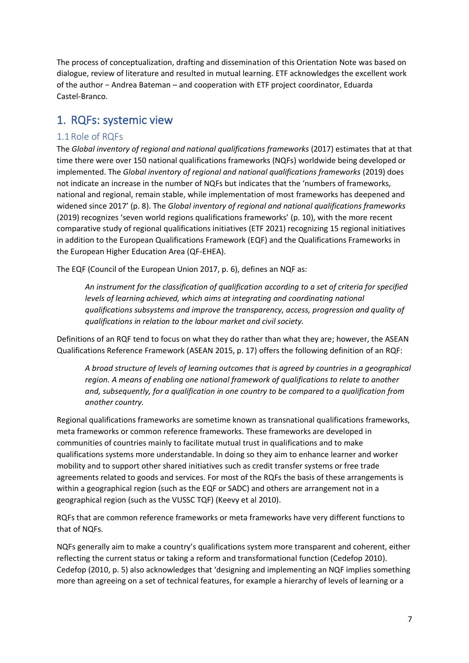The process of conceptualization, drafting and dissemination of this Orientation Note was based on dialogue, review of literature and resulted in mutual learning. ETF acknowledges the excellent work of the author − Andrea Bateman – and cooperation with ETF project coordinator, Eduarda Castel-Branco.

### <span id="page-6-0"></span>1. RQFs: systemic view

#### <span id="page-6-1"></span>1.1Role of RQFs

The *Global inventory of regional and national qualifications frameworks* (2017) estimates that at that time there were over 150 national qualifications frameworks (NQFs) worldwide being developed or implemented. The *Global inventory of regional and national qualifications frameworks* (2019) does not indicate an increase in the number of NQFs but indicates that the 'numbers of frameworks, national and regional, remain stable, while implementation of most frameworks has deepened and widened since 2017' (p. 8). The *Global inventory of regional and national qualifications frameworks* (2019) recognizes 'seven world regions qualifications frameworks' (p. 10), with the more recent comparative study of regional qualifications initiatives (ETF 2021) recognizing 15 regional initiatives in addition to the European Qualifications Framework (EQF) and the Qualifications Frameworks in the European Higher Education Area (QF-EHEA).

The EQF (Council of the European Union 2017, p. 6), defines an NQF as:

*An instrument for the classification of qualification according to a set of criteria for specified levels of learning achieved, which aims at integrating and coordinating national qualifications subsystems and improve the transparency, access, progression and quality of qualifications in relation to the labour market and civil society.*

Definitions of an RQF tend to focus on what they do rather than what they are; however, the ASEAN Qualifications Reference Framework (ASEAN 2015, p. 17) offers the following definition of an RQF:

*A broad structure of levels of learning outcomes that is agreed by countries in a geographical region. A means of enabling one national framework of qualifications to relate to another and, subsequently, for a qualification in one country to be compared to a qualification from another country.* 

Regional qualifications frameworks are sometime known as transnational qualifications frameworks, meta frameworks or common reference frameworks. These frameworks are developed in communities of countries mainly to facilitate mutual trust in qualifications and to make qualifications systems more understandable. In doing so they aim to enhance learner and worker mobility and to support other shared initiatives such as credit transfer systems or free trade agreements related to goods and services. For most of the RQFs the basis of these arrangements is within a geographical region (such as the EQF or SADC) and others are arrangement not in a geographical region (such as the VUSSC TQF) (Keevy et al 2010).

RQFs that are common reference frameworks or meta frameworks have very different functions to that of NQFs.

NQFs generally aim to make a country's qualifications system more transparent and coherent, either reflecting the current status or taking a reform and transformational function (Cedefop 2010). Cedefop (2010, p. 5) also acknowledges that 'designing and implementing an NQF implies something more than agreeing on a set of technical features, for example a hierarchy of levels of learning or a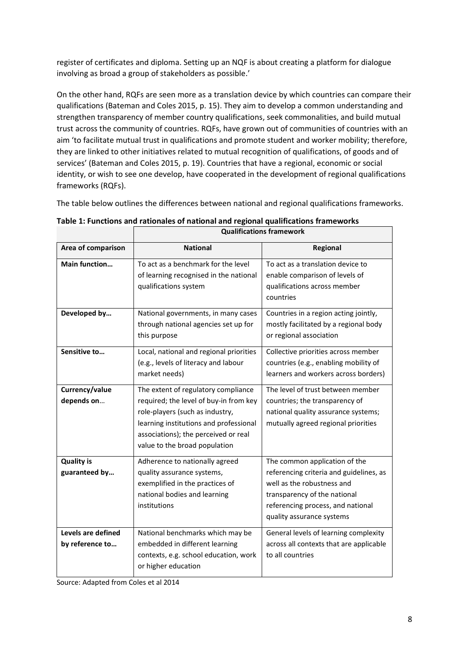register of certificates and diploma. Setting up an NQF is about creating a platform for dialogue involving as broad a group of stakeholders as possible.'

On the other hand, RQFs are seen more as a translation device by which countries can compare their qualifications (Bateman and Coles 2015, p. 15). They aim to develop a common understanding and strengthen transparency of member country qualifications, seek commonalities, and build mutual trust across the community of countries. RQFs, have grown out of communities of countries with an aim 'to facilitate mutual trust in qualifications and promote student and worker mobility; therefore, they are linked to other initiatives related to mutual recognition of qualifications, of goods and of services' (Bateman and Coles 2015, p. 19). Countries that have a regional, economic or social identity, or wish to see one develop, have cooperated in the development of regional qualifications frameworks (RQFs).

The table below outlines the differences between national and regional qualifications frameworks.

|                                       | Quallillud libiis Traillework                                                                                                                                                                                                       |                                                                                                                                                                                                          |  |
|---------------------------------------|-------------------------------------------------------------------------------------------------------------------------------------------------------------------------------------------------------------------------------------|----------------------------------------------------------------------------------------------------------------------------------------------------------------------------------------------------------|--|
| Area of comparison                    | <b>National</b>                                                                                                                                                                                                                     | Regional                                                                                                                                                                                                 |  |
| Main function                         | To act as a benchmark for the level<br>of learning recognised in the national<br>qualifications system                                                                                                                              | To act as a translation device to<br>enable comparison of levels of<br>qualifications across member<br>countries                                                                                         |  |
| Developed by                          | National governments, in many cases<br>through national agencies set up for<br>this purpose                                                                                                                                         | Countries in a region acting jointly,<br>mostly facilitated by a regional body<br>or regional association                                                                                                |  |
| Sensitive to                          | Local, national and regional priorities<br>(e.g., levels of literacy and labour<br>market needs)                                                                                                                                    | Collective priorities across member<br>countries (e.g., enabling mobility of<br>learners and workers across borders)                                                                                     |  |
| Currency/value<br>depends on          | The extent of regulatory compliance<br>required; the level of buy-in from key<br>role-players (such as industry,<br>learning institutions and professional<br>associations); the perceived or real<br>value to the broad population | The level of trust between member<br>countries; the transparency of<br>national quality assurance systems;<br>mutually agreed regional priorities                                                        |  |
| <b>Quality is</b><br>guaranteed by    | Adherence to nationally agreed<br>quality assurance systems,<br>exemplified in the practices of<br>national bodies and learning<br>institutions                                                                                     | The common application of the<br>referencing criteria and guidelines, as<br>well as the robustness and<br>transparency of the national<br>referencing process, and national<br>quality assurance systems |  |
| Levels are defined<br>by reference to | National benchmarks which may be<br>embedded in different learning<br>contexts, e.g. school education, work<br>or higher education                                                                                                  | General levels of learning complexity<br>across all contexts that are applicable<br>to all countries                                                                                                     |  |

<span id="page-7-0"></span>

| Table 1: Functions and rationales of national and regional qualifications frameworks |
|--------------------------------------------------------------------------------------|
| Oualifications framework                                                             |

Source: Adapted from Coles et al 2014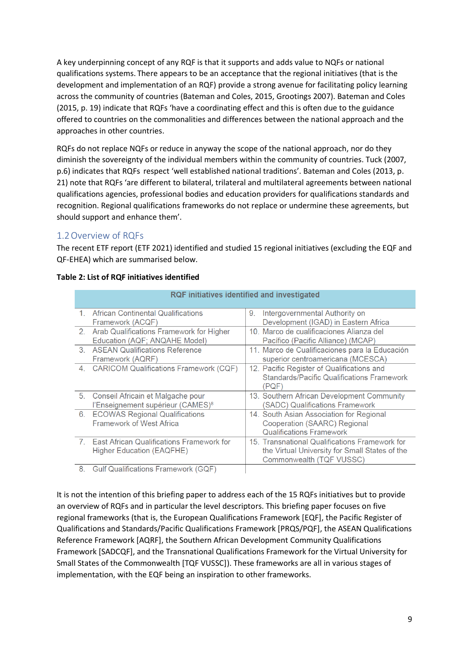A key underpinning concept of any RQF is that it supports and adds value to NQFs or national qualifications systems. There appears to be an acceptance that the regional initiatives (that is the development and implementation of an RQF) provide a strong avenue for facilitating policy learning across the community of countries (Bateman and Coles, 2015, Grootings 2007). Bateman and Coles (2015, p. 19) indicate that RQFs 'have a coordinating effect and this is often due to the guidance offered to countries on the commonalities and differences between the national approach and the approaches in other countries.

RQFs do not replace NQFs or reduce in anyway the scope of the national approach, nor do they diminish the sovereignty of the individual members within the community of countries. Tuck (2007, p.6) indicates that RQFs respect 'well established national traditions'. Bateman and Coles (2013, p. 21) note that RQFs 'are different to bilateral, trilateral and multilateral agreements between national qualifications agencies, professional bodies and education providers for qualifications standards and recognition. Regional qualifications frameworks do not replace or undermine these agreements, but should support and enhance them'.

#### <span id="page-8-0"></span>1.2Overview of RQFs

The recent ETF report (ETF 2021) identified and studied 15 regional initiatives (excluding the EQF and QF-EHEA) which are summarised below.

|    |                                                                                    | RQF initiatives identified and investigated                                                                                  |
|----|------------------------------------------------------------------------------------|------------------------------------------------------------------------------------------------------------------------------|
| 1  | African Continental Qualifications<br>Framework (ACQF)                             | Intergovernmental Authority on<br>9.<br>Development (IGAD) in Eastern Africa                                                 |
|    | 2. Arab Qualifications Framework for Higher<br>Education (AQF; ANQAHE Model)       | 10. Marco de cualificaciones Alianza del<br>Pacífico (Pacific Alliance) (MCAP)                                               |
|    | 3. ASEAN Qualifications Reference<br>Framework (AQRF)                              | 11. Marco de Cualificaciones para la Educación<br>superior centroamericana (MCESCA)                                          |
|    | 4. CARICOM Qualifications Framework (CQF)                                          | 12. Pacific Register of Qualifications and<br><b>Standards/Pacific Qualifications Framework</b><br>(PQF)                     |
| 5. | Conseil Africain et Malgache pour<br>l'Enseignement supérieur (CAMES) <sup>8</sup> | 13. Southern African Development Community<br><b>SADC) Qualifications Framework</b>                                          |
| 6. | <b>ECOWAS Regional Qualifications</b><br><b>Framework of West Africa</b>           | 14. South Asian Association for Regional<br>Cooperation (SAARC) Regional<br><b>Qualifications Framework</b>                  |
|    | 7. East African Qualifications Framework for<br>Higher Education (EAQFHE)          | 15. Transnational Qualifications Framework for<br>the Virtual University for Small States of the<br>Commonwealth (TQF VUSSC) |
| 8. | <b>Gulf Qualifications Framework (GQF)</b>                                         |                                                                                                                              |

#### <span id="page-8-1"></span>**Table 2: List of RQF initiatives identified**

It is not the intention of this briefing paper to address each of the 15 RQFs initiatives but to provide an overview of RQFs and in particular the level descriptors. This briefing paper focuses on five regional frameworks (that is, the European Qualifications Framework [EQF], the Pacific Register of Qualifications and Standards/Pacific Qualifications Framework [PRQS/PQF], the ASEAN Qualifications Reference Framework [AQRF], the Southern African Development Community Qualifications Framework [SADCQF], and the Transnational Qualifications Framework for the Virtual University for Small States of the Commonwealth [TQF VUSSC]). These frameworks are all in various stages of implementation, with the EQF being an inspiration to other frameworks.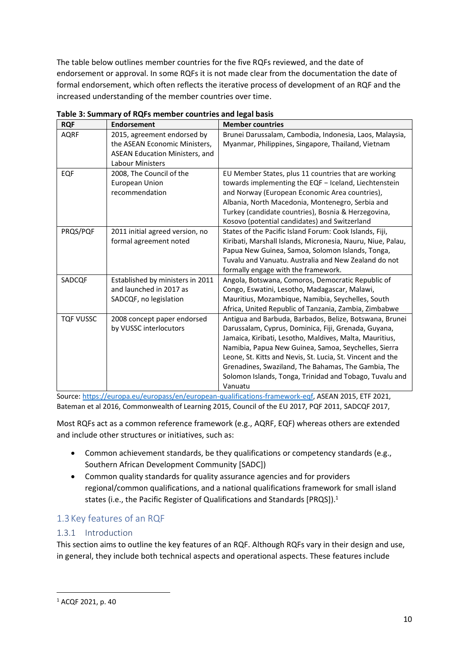The table below outlines member countries for the five RQFs reviewed, and the date of endorsement or approval. In some RQFs it is not made clear from the documentation the date of formal endorsement, which often reflects the iterative process of development of an RQF and the increased understanding of the member countries over time.

| <b>RQF</b>       | <b>Endorsement</b>                    | <b>Member countries</b>                                     |
|------------------|---------------------------------------|-------------------------------------------------------------|
| <b>AQRF</b>      | 2015, agreement endorsed by           | Brunei Darussalam, Cambodia, Indonesia, Laos, Malaysia,     |
|                  | the ASEAN Economic Ministers,         | Myanmar, Philippines, Singapore, Thailand, Vietnam          |
|                  | <b>ASEAN Education Ministers, and</b> |                                                             |
|                  | Labour Ministers                      |                                                             |
| <b>EQF</b>       | 2008, The Council of the              | EU Member States, plus 11 countries that are working        |
|                  | <b>European Union</b>                 | towards implementing the EQF - Iceland, Liechtenstein       |
|                  | recommendation                        | and Norway (European Economic Area countries),              |
|                  |                                       | Albania, North Macedonia, Montenegro, Serbia and            |
|                  |                                       | Turkey (candidate countries), Bosnia & Herzegovina,         |
|                  |                                       | Kosovo (potential candidates) and Switzerland               |
| PRQS/PQF         | 2011 initial agreed version, no       | States of the Pacific Island Forum: Cook Islands, Fiji,     |
|                  | formal agreement noted                | Kiribati, Marshall Islands, Micronesia, Nauru, Niue, Palau, |
|                  |                                       | Papua New Guinea, Samoa, Solomon Islands, Tonga,            |
|                  |                                       | Tuvalu and Vanuatu. Australia and New Zealand do not        |
|                  |                                       | formally engage with the framework.                         |
| SADCQF           | Established by ministers in 2011      | Angola, Botswana, Comoros, Democratic Republic of           |
|                  | and launched in 2017 as               | Congo, Eswatini, Lesotho, Madagascar, Malawi,               |
|                  | SADCQF, no legislation                | Mauritius, Mozambique, Namibia, Seychelles, South           |
|                  |                                       | Africa, United Republic of Tanzania, Zambia, Zimbabwe       |
| <b>TQF VUSSC</b> | 2008 concept paper endorsed           | Antigua and Barbuda, Barbados, Belize, Botswana, Brunei     |
|                  | by VUSSC interlocutors                | Darussalam, Cyprus, Dominica, Fiji, Grenada, Guyana,        |
|                  |                                       | Jamaica, Kiribati, Lesotho, Maldives, Malta, Mauritius,     |
|                  |                                       | Namibia, Papua New Guinea, Samoa, Seychelles, Sierra        |
|                  |                                       | Leone, St. Kitts and Nevis, St. Lucia, St. Vincent and the  |
|                  |                                       | Grenadines, Swaziland, The Bahamas, The Gambia, The         |
|                  |                                       | Solomon Islands, Tonga, Trinidad and Tobago, Tuvalu and     |
|                  |                                       | Vanuatu                                                     |

<span id="page-9-2"></span>**Table 3: Summary of RQFs member countries and legal basis**

Source[: https://europa.eu/europass/en/european-qualifications-framework-eqf,](https://europa.eu/europass/en/european-qualifications-framework-eqf) ASEAN 2015, ETF 2021, Bateman et al 2016, Commonwealth of Learning 2015, Council of the EU 2017, PQF 2011, SADCQF 2017,

Most RQFs act as a common reference framework (e.g., AQRF, EQF) whereas others are extended and include other structures or initiatives, such as:

- Common achievement standards, be they qualifications or competency standards (e.g., Southern African Development Community [SADC])
- Common quality standards for quality assurance agencies and for providers regional/common qualifications, and a national qualifications framework for small island states (i.e., the Pacific Register of Qualifications and Standards [PRQS]).<sup>1</sup>

### <span id="page-9-0"></span>1.3 Key features of an RQF

#### <span id="page-9-1"></span>1.3.1 Introduction

This section aims to outline the key features of an RQF. Although RQFs vary in their design and use, in general, they include both technical aspects and operational aspects. These features include

<sup>1</sup> ACQF 2021, p. 40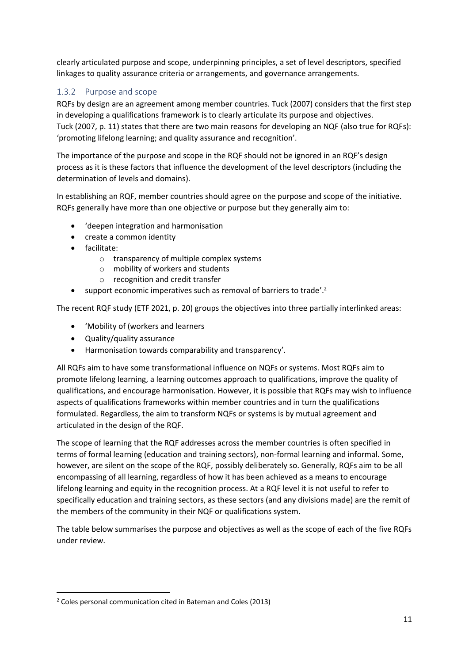clearly articulated purpose and scope, underpinning principles, a set of level descriptors, specified linkages to quality assurance criteria or arrangements, and governance arrangements.

#### <span id="page-10-0"></span>1.3.2 Purpose and scope

RQFs by design are an agreement among member countries. Tuck (2007) considers that the first step in developing a qualifications framework is to clearly articulate its purpose and objectives. Tuck (2007, p. 11) states that there are two main reasons for developing an NQF (also true for RQFs): 'promoting lifelong learning; and quality assurance and recognition'.

The importance of the purpose and scope in the RQF should not be ignored in an RQF's design process as it is these factors that influence the development of the level descriptors (including the determination of levels and domains).

In establishing an RQF, member countries should agree on the purpose and scope of the initiative. RQFs generally have more than one objective or purpose but they generally aim to:

- 'deepen integration and harmonisation
- create a common identity
- facilitate:
	- o transparency of multiple complex systems
	- o mobility of workers and students
	- o recognition and credit transfer
- support economic imperatives such as removal of barriers to trade'.<sup>2</sup>

The recent RQF study (ETF 2021, p. 20) groups the objectives into three partially interlinked areas:

- 'Mobility of (workers and learners
- Quality/quality assurance
- Harmonisation towards comparability and transparency'.

All RQFs aim to have some transformational influence on NQFs or systems. Most RQFs aim to promote lifelong learning, a learning outcomes approach to qualifications, improve the quality of qualifications, and encourage harmonisation. However, it is possible that RQFs may wish to influence aspects of qualifications frameworks within member countries and in turn the qualifications formulated. Regardless, the aim to transform NQFs or systems is by mutual agreement and articulated in the design of the RQF.

The scope of learning that the RQF addresses across the member countries is often specified in terms of formal learning (education and training sectors), non-formal learning and informal. Some, however, are silent on the scope of the RQF, possibly deliberately so. Generally, RQFs aim to be all encompassing of all learning, regardless of how it has been achieved as a means to encourage lifelong learning and equity in the recognition process. At a RQF level it is not useful to refer to specifically education and training sectors, as these sectors (and any divisions made) are the remit of the members of the community in their NQF or qualifications system.

<span id="page-10-1"></span>The table below summarises the purpose and objectives as well as the scope of each of the five RQFs under review.

<sup>2</sup> Coles personal communication cited in Bateman and Coles (2013)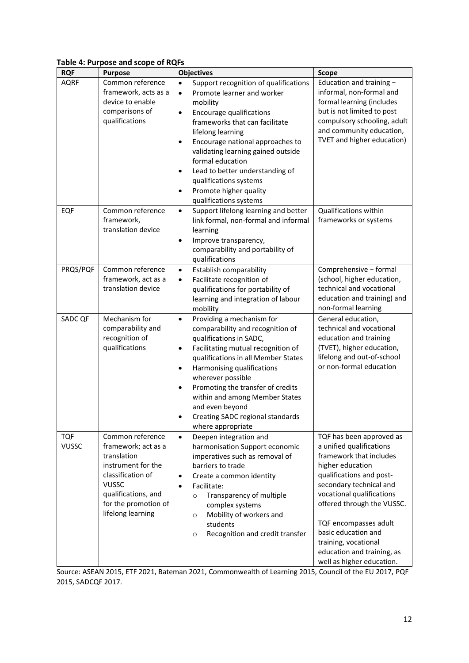#### **Table 4: Purpose and scope of RQFs**

| .<br><b>RQF</b>            | , oo ah iyo oo ka u uu<br><b>Purpose</b>                                                                                                                                              | <b>Objectives</b>                                                                                                                                                                                                                                                                                                                                                                                                               | <b>Scope</b>                                                                                                                                                                                                                                                                                                                                             |
|----------------------------|---------------------------------------------------------------------------------------------------------------------------------------------------------------------------------------|---------------------------------------------------------------------------------------------------------------------------------------------------------------------------------------------------------------------------------------------------------------------------------------------------------------------------------------------------------------------------------------------------------------------------------|----------------------------------------------------------------------------------------------------------------------------------------------------------------------------------------------------------------------------------------------------------------------------------------------------------------------------------------------------------|
| <b>AQRF</b>                | Common reference<br>framework, acts as a                                                                                                                                              | Support recognition of qualifications<br>$\bullet$<br>Promote learner and worker<br>$\bullet$                                                                                                                                                                                                                                                                                                                                   | Education and training -<br>informal, non-formal and                                                                                                                                                                                                                                                                                                     |
|                            | device to enable<br>comparisons of<br>qualifications                                                                                                                                  | mobility<br>Encourage qualifications<br>$\bullet$<br>frameworks that can facilitate<br>lifelong learning<br>Encourage national approaches to<br>$\bullet$<br>validating learning gained outside<br>formal education<br>Lead to better understanding of<br>$\bullet$<br>qualifications systems<br>Promote higher quality<br>$\bullet$<br>qualifications systems                                                                  | formal learning (includes<br>but is not limited to post<br>compulsory schooling, adult<br>and community education,<br>TVET and higher education)                                                                                                                                                                                                         |
| EQF                        | Common reference<br>framework,<br>translation device                                                                                                                                  | Support lifelong learning and better<br>$\bullet$<br>link formal, non-formal and informal<br>learning<br>Improve transparency,<br>$\bullet$<br>comparability and portability of<br>qualifications                                                                                                                                                                                                                               | Qualifications within<br>frameworks or systems                                                                                                                                                                                                                                                                                                           |
| PRQS/PQF                   | Common reference<br>framework, act as a<br>translation device                                                                                                                         | Establish comparability<br>$\bullet$<br>Facilitate recognition of<br>$\bullet$<br>qualifications for portability of<br>learning and integration of labour<br>mobility                                                                                                                                                                                                                                                           | Comprehensive - formal<br>(school, higher education,<br>technical and vocational<br>education and training) and<br>non-formal learning                                                                                                                                                                                                                   |
| SADC QF                    | Mechanism for<br>comparability and<br>recognition of<br>qualifications                                                                                                                | Providing a mechanism for<br>$\bullet$<br>comparability and recognition of<br>qualifications in SADC,<br>Facilitating mutual recognition of<br>$\bullet$<br>qualifications in all Member States<br>Harmonising qualifications<br>$\bullet$<br>wherever possible<br>Promoting the transfer of credits<br>$\bullet$<br>within and among Member States<br>and even beyond<br>Creating SADC regional standards<br>where appropriate | General education,<br>technical and vocational<br>education and training<br>(TVET), higher education,<br>lifelong and out-of-school<br>or non-formal education                                                                                                                                                                                           |
| <b>TQF</b><br><b>VUSSC</b> | Common reference<br>framework; act as a<br>translation<br>instrument for the<br>classification of<br><b>VUSSC</b><br>qualifications, and<br>for the promotion of<br>lifelong learning | $\bullet$<br>Deepen integration and<br>harmonisation Support economic<br>imperatives such as removal of<br>barriers to trade<br>Create a common identity<br>$\bullet$<br>Facilitate:<br>$\bullet$<br>Transparency of multiple<br>$\circ$<br>complex systems<br>Mobility of workers and<br>$\circ$<br>students<br>Recognition and credit transfer<br>$\circ$                                                                     | TQF has been approved as<br>a unified qualifications<br>framework that includes<br>higher education<br>qualifications and post-<br>secondary technical and<br>vocational qualifications<br>offered through the VUSSC.<br>TQF encompasses adult<br>basic education and<br>training, vocational<br>education and training, as<br>well as higher education. |

Source: ASEAN 2015, ETF 2021, Bateman 2021, Commonwealth of Learning 2015, Council of the EU 2017, PQF 2015, SADCQF 2017.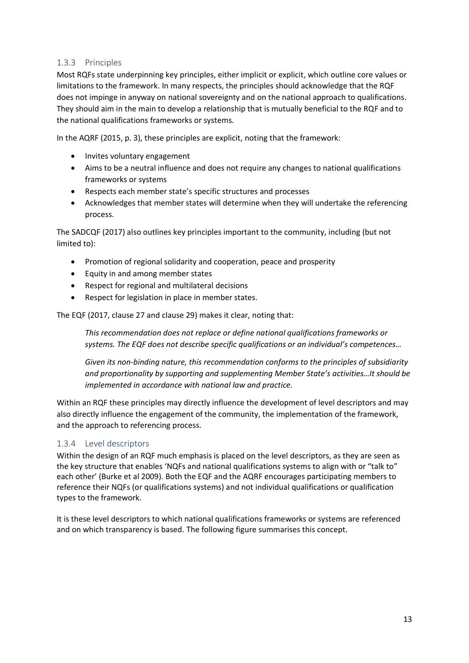#### <span id="page-12-0"></span>1.3.3 Principles

Most RQFs state underpinning key principles, either implicit or explicit, which outline core values or limitations to the framework. In many respects, the principles should acknowledge that the RQF does not impinge in anyway on national sovereignty and on the national approach to qualifications. They should aim in the main to develop a relationship that is mutually beneficial to the RQF and to the national qualifications frameworks or systems.

In the AQRF (2015, p. 3), these principles are explicit, noting that the framework:

- Invites voluntary engagement
- Aims to be a neutral influence and does not require any changes to national qualifications frameworks or systems
- Respects each member state's specific structures and processes
- Acknowledges that member states will determine when they will undertake the referencing process.

The SADCQF (2017) also outlines key principles important to the community, including (but not limited to):

- Promotion of regional solidarity and cooperation, peace and prosperity
- Equity in and among member states
- Respect for regional and multilateral decisions
- Respect for legislation in place in member states.

The EQF (2017, clause 27 and clause 29) makes it clear, noting that:

*This recommendation does not replace or define national qualifications frameworks or systems. The EQF does not describe specific qualifications or an individual's competences…*

*Given its non-binding nature, this recommendation conforms to the principles of subsidiarity and proportionality by supporting and supplementing Member State's activities…It should be implemented in accordance with national law and practice.* 

Within an RQF these principles may directly influence the development of level descriptors and may also directly influence the engagement of the community, the implementation of the framework, and the approach to referencing process.

#### <span id="page-12-1"></span>1.3.4 Level descriptors

Within the design of an RQF much emphasis is placed on the level descriptors, as they are seen as the key structure that enables 'NQFs and national qualifications systems to align with or "talk to" each other' (Burke et al 2009). Both the EQF and the AQRF encourages participating members to reference their NQFs (or qualifications systems) and not individual qualifications or qualification types to the framework.

It is these level descriptors to which national qualifications frameworks or systems are referenced and on which transparency is based. The following figure summarises this concept.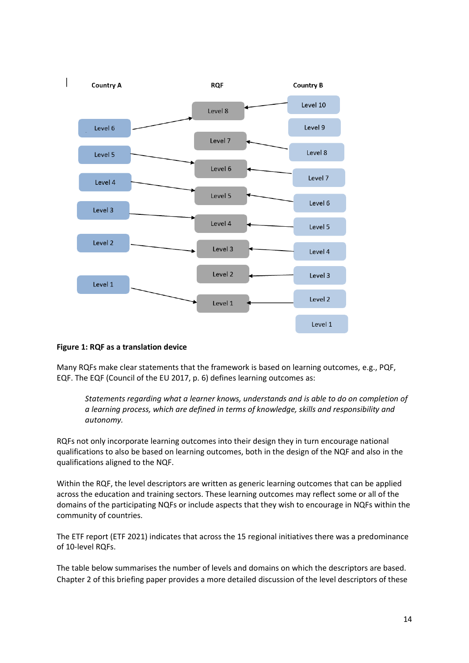<span id="page-13-0"></span>

#### **Figure 1: RQF as a translation device**

Many RQFs make clear statements that the framework is based on learning outcomes, e.g., PQF, EQF. The EQF (Council of the EU 2017, p. 6) defines learning outcomes as:

*Statements regarding what a learner knows, understands and is able to do on completion of a learning process, which are defined in terms of knowledge, skills and responsibility and autonomy.*

RQFs not only incorporate learning outcomes into their design they in turn encourage national qualifications to also be based on learning outcomes, both in the design of the NQF and also in the qualifications aligned to the NQF.

Within the RQF, the level descriptors are written as generic learning outcomes that can be applied across the education and training sectors. These learning outcomes may reflect some or all of the domains of the participating NQFs or include aspects that they wish to encourage in NQFs within the community of countries.

The ETF report (ETF 2021) indicates that across the 15 regional initiatives there was a predominance of 10-level RQFs.

The table below summarises the number of levels and domains on which the descriptors are based. Chapter 2 of this briefing paper provides a more detailed discussion of the level descriptors of these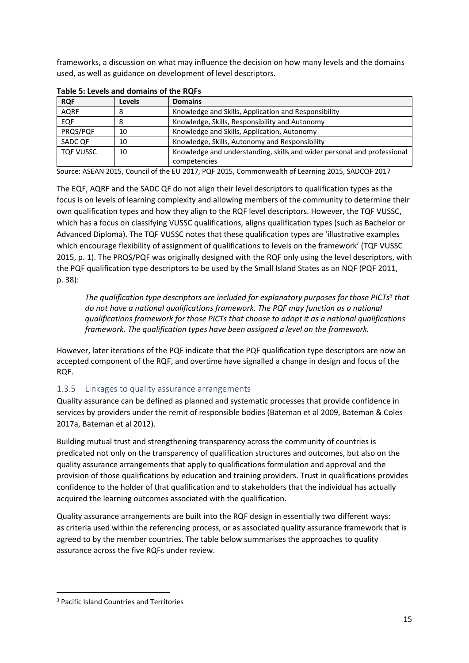frameworks, a discussion on what may influence the decision on how many levels and the domains used, as well as guidance on development of level descriptors.

| <b>RQF</b>       | Levels | <b>Domains</b>                                                          |
|------------------|--------|-------------------------------------------------------------------------|
| <b>AQRF</b>      | 8      | Knowledge and Skills, Application and Responsibility                    |
| <b>EQF</b>       |        | Knowledge, Skills, Responsibility and Autonomy                          |
| PRQS/PQF         | 10     | Knowledge and Skills, Application, Autonomy                             |
| SADC OF          | 10     | Knowledge, Skills, Autonomy and Responsibility                          |
| <b>TQF VUSSC</b> | 10     | Knowledge and understanding, skills and wider personal and professional |
|                  |        | competencies                                                            |

<span id="page-14-1"></span>**Table 5: Levels and domains of the RQFs**

Source: ASEAN 2015, Council of the EU 2017, PQF 2015, Commonwealth of Learning 2015, SADCQF 2017

The EQF, AQRF and the SADC QF do not align their level descriptors to qualification types as the focus is on levels of learning complexity and allowing members of the community to determine their own qualification types and how they align to the RQF level descriptors. However, the TQF VUSSC, which has a focus on classifying VUSSC qualifications, aligns qualification types (such as Bachelor or Advanced Diploma). The TQF VUSSC notes that these qualification types are 'illustrative examples which encourage flexibility of assignment of qualifications to levels on the framework' (TQF VUSSC 2015, p. 1). The PRQS/PQF was originally designed with the RQF only using the level descriptors, with the PQF qualification type descriptors to be used by the Small Island States as an NQF (PQF 2011, p. 38):

*The qualification type descriptors are included for explanatory purposes for those PICTs<sup>3</sup> that do not have a national qualifications framework. The PQF may function as a national qualifications framework for those PICTs that choose to adopt it as a national qualifications framework. The qualification types have been assigned a level on the framework.*

However, later iterations of the PQF indicate that the PQF qualification type descriptors are now an accepted component of the RQF, and overtime have signalled a change in design and focus of the RQF.

#### <span id="page-14-0"></span>1.3.5 Linkages to quality assurance arrangements

Quality assurance can be defined as planned and systematic processes that provide confidence in services by providers under the remit of responsible bodies (Bateman et al 2009, Bateman & Coles 2017a, Bateman et al 2012).

Building mutual trust and strengthening transparency across the community of countries is predicated not only on the transparency of qualification structures and outcomes, but also on the quality assurance arrangements that apply to qualifications formulation and approval and the provision of those qualifications by education and training providers. Trust in qualifications provides confidence to the holder of that qualification and to stakeholders that the individual has actually acquired the learning outcomes associated with the qualification.

Quality assurance arrangements are built into the RQF design in essentially two different ways: as criteria used within the referencing process, or as associated quality assurance framework that is agreed to by the member countries. The table below summarises the approaches to quality assurance across the five RQFs under review.

<sup>3</sup> Pacific Island Countries and Territories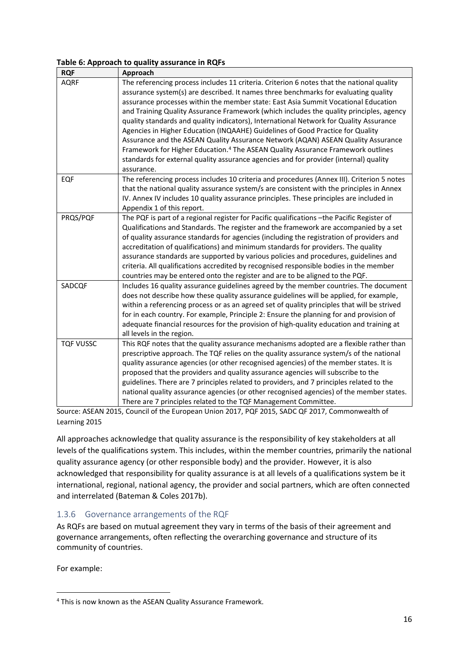#### <span id="page-15-1"></span>**Table 6: Approach to quality assurance in RQFs**

| <b>RQF</b>       | Approach                                                                                                                                                                                                                                                                                                                                                                                                                                                                                                                                                                                                                                                                                                                                                                                                                                |
|------------------|-----------------------------------------------------------------------------------------------------------------------------------------------------------------------------------------------------------------------------------------------------------------------------------------------------------------------------------------------------------------------------------------------------------------------------------------------------------------------------------------------------------------------------------------------------------------------------------------------------------------------------------------------------------------------------------------------------------------------------------------------------------------------------------------------------------------------------------------|
| <b>AQRF</b>      | The referencing process includes 11 criteria. Criterion 6 notes that the national quality<br>assurance system(s) are described. It names three benchmarks for evaluating quality<br>assurance processes within the member state: East Asia Summit Vocational Education<br>and Training Quality Assurance Framework (which includes the quality principles, agency<br>quality standards and quality indicators), International Network for Quality Assurance<br>Agencies in Higher Education (INQAAHE) Guidelines of Good Practice for Quality<br>Assurance and the ASEAN Quality Assurance Network (AQAN) ASEAN Quality Assurance<br>Framework for Higher Education. <sup>4</sup> The ASEAN Quality Assurance Framework outlines<br>standards for external quality assurance agencies and for provider (internal) quality<br>assurance. |
| EQF              | The referencing process includes 10 criteria and procedures (Annex III). Criterion 5 notes<br>that the national quality assurance system/s are consistent with the principles in Annex<br>IV. Annex IV includes 10 quality assurance principles. These principles are included in<br>Appendix 1 of this report.                                                                                                                                                                                                                                                                                                                                                                                                                                                                                                                         |
| PRQS/PQF         | The PQF is part of a regional register for Pacific qualifications -the Pacific Register of<br>Qualifications and Standards. The register and the framework are accompanied by a set<br>of quality assurance standards for agencies (including the registration of providers and<br>accreditation of qualifications) and minimum standards for providers. The quality<br>assurance standards are supported by various policies and procedures, guidelines and<br>criteria. All qualifications accredited by recognised responsible bodies in the member<br>countries may be entered onto the register and are to be aligned to the PQF.                                                                                                                                                                                                  |
| SADCQF           | Includes 16 quality assurance guidelines agreed by the member countries. The document<br>does not describe how these quality assurance guidelines will be applied, for example,<br>within a referencing process or as an agreed set of quality principles that will be strived<br>for in each country. For example, Principle 2: Ensure the planning for and provision of<br>adequate financial resources for the provision of high-quality education and training at<br>all levels in the region.                                                                                                                                                                                                                                                                                                                                      |
| <b>TQF VUSSC</b> | This RQF notes that the quality assurance mechanisms adopted are a flexible rather than<br>prescriptive approach. The TQF relies on the quality assurance system/s of the national<br>quality assurance agencies (or other recognised agencies) of the member states. It is<br>proposed that the providers and quality assurance agencies will subscribe to the<br>guidelines. There are 7 principles related to providers, and 7 principles related to the<br>national quality assurance agencies (or other recognised agencies) of the member states.<br>There are 7 principles related to the TQF Management Committee.                                                                                                                                                                                                              |

Source: ASEAN 2015, Council of the European Union 2017, PQF 2015, SADC QF 2017, Commonwealth of Learning 2015

All approaches acknowledge that quality assurance is the responsibility of key stakeholders at all levels of the qualifications system. This includes, within the member countries, primarily the national quality assurance agency (or other responsible body) and the provider. However, it is also acknowledged that responsibility for quality assurance is at all levels of a qualifications system be it international, regional, national agency, the provider and social partners, which are often connected and interrelated (Bateman & Coles 2017b).

#### <span id="page-15-0"></span>1.3.6 Governance arrangements of the RQF

As RQFs are based on mutual agreement they vary in terms of the basis of their agreement and governance arrangements, often reflecting the overarching governance and structure of its community of countries.

For example:

<sup>4</sup> This is now known as the ASEAN Quality Assurance Framework.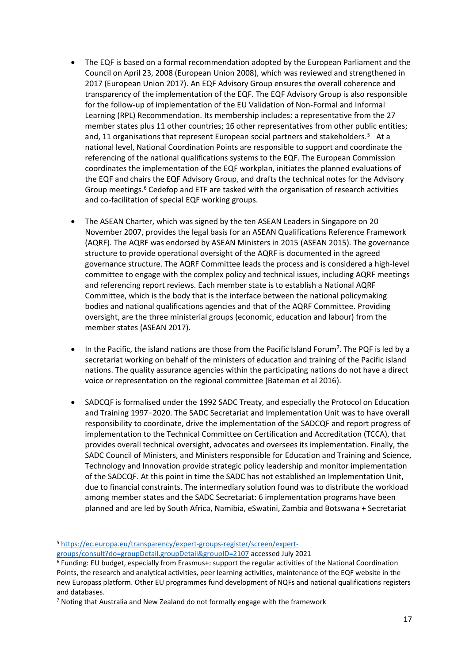- The EQF is based on a formal recommendation adopted by the European Parliament and the Council on April 23, 2008 (European Union 2008), which was reviewed and strengthened in 2017 (European Union 2017). An EQF Advisory Group ensures the overall coherence and transparency of the implementation of the EQF. The EQF Advisory Group is also responsible for the follow-up of implementation of the EU Validation of Non-Formal and Informal Learning (RPL) Recommendation. Its membership includes: a representative from the 27 member states plus 11 other countries; 16 other representatives from other public entities; and, 11 organisations that represent European social partners and stakeholders.<sup>5</sup> At a national level, National Coordination Points are responsible to support and coordinate the referencing of the national qualifications systems to the EQF. The European Commission coordinates the implementation of the EQF workplan, initiates the planned evaluations of the EQF and chairs the EQF Advisory Group, and drafts the technical notes for the Advisory Group meetings.<sup>6</sup> Cedefop and ETF are tasked with the organisation of research activities and co-facilitation of special EQF working groups.
- The ASEAN Charter, which was signed by the ten ASEAN Leaders in Singapore on 20 November 2007, provides the legal basis for an ASEAN Qualifications Reference Framework (AQRF). The AQRF was endorsed by ASEAN Ministers in 2015 (ASEAN 2015). The governance structure to provide operational oversight of the AQRF is documented in the agreed governance structure. The AQRF Committee leads the process and is considered a high-level committee to engage with the complex policy and technical issues, including AQRF meetings and referencing report reviews. Each member state is to establish a National AQRF Committee, which is the body that is the interface between the national policymaking bodies and national qualifications agencies and that of the AQRF Committee. Providing oversight, are the three ministerial groups (economic, education and labour) from the member states (ASEAN 2017).
- In the Pacific, the island nations are those from the Pacific Island Forum<sup>7</sup>. The PQF is led by a secretariat working on behalf of the ministers of education and training of the Pacific island nations. The quality assurance agencies within the participating nations do not have a direct voice or representation on the regional committee (Bateman et al 2016).
- SADCQF is formalised under the 1992 SADC Treaty, and especially the Protocol on Education and Training 1997−2020. The SADC Secretariat and Implementation Unit was to have overall responsibility to coordinate, drive the implementation of the SADCQF and report progress of implementation to the Technical Committee on Certification and Accreditation (TCCA), that provides overall technical oversight, advocates and oversees its implementation. Finally, the SADC Council of Ministers, and Ministers responsible for Education and Training and Science, Technology and Innovation provide strategic policy leadership and monitor implementation of the SADCQF. At this point in time the SADC has not established an Implementation Unit, due to financial constraints. The intermediary solution found was to distribute the workload among member states and the SADC Secretariat: 6 implementation programs have been planned and are led by South Africa, Namibia, eSwatini, Zambia and Botswana + Secretariat

<sup>5</sup> [https://ec.europa.eu/transparency/expert-groups-register/screen/expert-](https://ec.europa.eu/transparency/expert-groups-register/screen/expert-groups/consult?do=groupDetail.groupDetail&groupID=2107)

[groups/consult?do=groupDetail.groupDetail&groupID=2107](https://ec.europa.eu/transparency/expert-groups-register/screen/expert-groups/consult?do=groupDetail.groupDetail&groupID=2107) accessed July 2021

<sup>6</sup> Funding: EU budget, especially from Erasmus+: support the regular activities of the National Coordination Points, the research and analytical activities, peer learning activities, maintenance of the EQF website in the new Europass platform. Other EU programmes fund development of NQFs and national qualifications registers and databases.

<sup>7</sup> Noting that Australia and New Zealand do not formally engage with the framework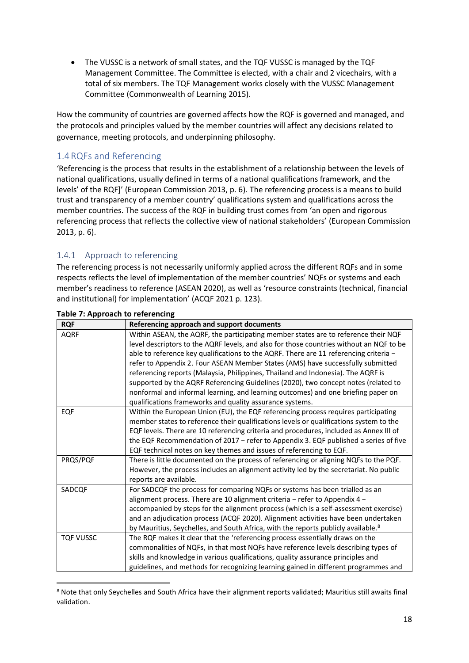• The VUSSC is a network of small states, and the TQF VUSSC is managed by the TQF Management Committee. The Committee is elected, with a chair and 2 vicechairs, with a total of six members. The TQF Management works closely with the VUSSC Management Committee (Commonwealth of Learning 2015).

How the community of countries are governed affects how the RQF is governed and managed, and the protocols and principles valued by the member countries will affect any decisions related to governance, meeting protocols, and underpinning philosophy.

#### <span id="page-17-0"></span>1.4RQFs and Referencing

'Referencing is the process that results in the establishment of a relationship between the levels of national qualifications, usually defined in terms of a national qualifications framework, and the levels' of the RQF]' (European Commission 2013, p. 6). The referencing process is a means to build trust and transparency of a member country' qualifications system and qualifications across the member countries. The success of the RQF in building trust comes from 'an open and rigorous referencing process that reflects the collective view of national stakeholders' (European Commission 2013, p. 6).

#### <span id="page-17-1"></span>1.4.1 Approach to referencing

The referencing process is not necessarily uniformly applied across the different RQFs and in some respects reflects the level of implementation of the member countries' NQFs or systems and each member's readiness to reference (ASEAN 2020), as well as 'resource constraints (technical, financial and institutional) for implementation' (ACQF 2021 p. 123).

| <b>RQF</b>       | Referencing approach and support documents                                                    |
|------------------|-----------------------------------------------------------------------------------------------|
| <b>AQRF</b>      | Within ASEAN, the AQRF, the participating member states are to reference their NQF            |
|                  | level descriptors to the AQRF levels, and also for those countries without an NQF to be       |
|                  | able to reference key qualifications to the AQRF. There are 11 referencing criteria -         |
|                  | refer to Appendix 2. Four ASEAN Member States (AMS) have successfully submitted               |
|                  | referencing reports (Malaysia, Philippines, Thailand and Indonesia). The AQRF is              |
|                  | supported by the AQRF Referencing Guidelines (2020), two concept notes (related to            |
|                  | nonformal and informal learning, and learning outcomes) and one briefing paper on             |
|                  | qualifications frameworks and quality assurance systems.                                      |
| EQF              | Within the European Union (EU), the EQF referencing process requires participating            |
|                  | member states to reference their qualifications levels or qualifications system to the        |
|                  | EQF levels. There are 10 referencing criteria and procedures, included as Annex III of        |
|                  | the EQF Recommendation of 2017 - refer to Appendix 3. EQF published a series of five          |
|                  | EQF technical notes on key themes and issues of referencing to EQF.                           |
| PRQS/PQF         | There is little documented on the process of referencing or aligning NQFs to the PQF.         |
|                  | However, the process includes an alignment activity led by the secretariat. No public         |
|                  | reports are available.                                                                        |
| SADCQF           | For SADCQF the process for comparing NQFs or systems has been trialled as an                  |
|                  | alignment process. There are 10 alignment criteria - refer to Appendix 4 -                    |
|                  | accompanied by steps for the alignment process (which is a self-assessment exercise)          |
|                  | and an adjudication process (ACQF 2020). Alignment activities have been undertaken            |
|                  | by Mauritius, Seychelles, and South Africa, with the reports publicly available. <sup>8</sup> |
| <b>TQF VUSSC</b> | The RQF makes it clear that the 'referencing process essentially draws on the                 |
|                  | commonalities of NQFs, in that most NQFs have reference levels describing types of            |
|                  | skills and knowledge in various qualifications, quality assurance principles and              |
|                  | guidelines, and methods for recognizing learning gained in different programmes and           |

#### <span id="page-17-2"></span>**Table 7: Approach to referencing**

<sup>8</sup> Note that only Seychelles and South Africa have their alignment reports validated; Mauritius still awaits final validation.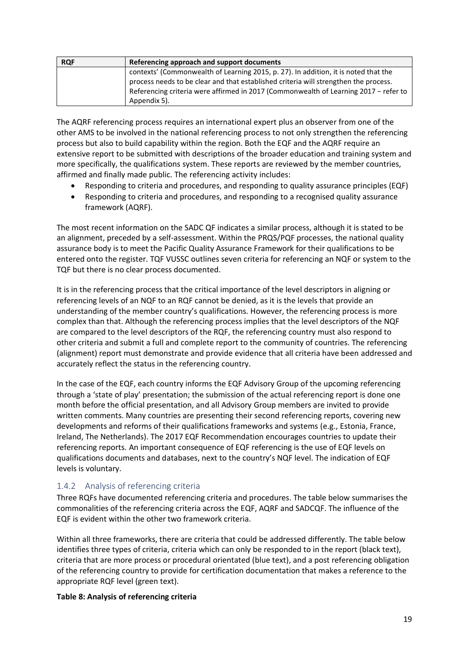| <b>RQF</b> | Referencing approach and support documents                                           |
|------------|--------------------------------------------------------------------------------------|
|            | contexts' (Commonwealth of Learning 2015, p. 27). In addition, it is noted that the  |
|            | process needs to be clear and that established criteria will strengthen the process. |
|            | Referencing criteria were affirmed in 2017 (Commonwealth of Learning 2017 - refer to |
|            | Appendix 5).                                                                         |

The AQRF referencing process requires an international expert plus an observer from one of the other AMS to be involved in the national referencing process to not only strengthen the referencing process but also to build capability within the region. Both the EQF and the AQRF require an extensive report to be submitted with descriptions of the broader education and training system and more specifically, the qualifications system. These reports are reviewed by the member countries, affirmed and finally made public. The referencing activity includes:

- Responding to criteria and procedures, and responding to quality assurance principles (EQF)
- Responding to criteria and procedures, and responding to a recognised quality assurance framework (AQRF).

The most recent information on the SADC QF indicates a similar process, although it is stated to be an alignment, preceded by a self-assessment. Within the PRQS/PQF processes, the national quality assurance body is to meet the Pacific Quality Assurance Framework for their qualifications to be entered onto the register. TQF VUSSC outlines seven criteria for referencing an NQF or system to the TQF but there is no clear process documented.

It is in the referencing process that the critical importance of the level descriptors in aligning or referencing levels of an NQF to an RQF cannot be denied, as it is the levels that provide an understanding of the member country's qualifications. However, the referencing process is more complex than that. Although the referencing process implies that the level descriptors of the NQF are compared to the level descriptors of the RQF, the referencing country must also respond to other criteria and submit a full and complete report to the community of countries. The referencing (alignment) report must demonstrate and provide evidence that all criteria have been addressed and accurately reflect the status in the referencing country.

In the case of the EQF, each country informs the EQF Advisory Group of the upcoming referencing through a 'state of play' presentation; the submission of the actual referencing report is done one month before the official presentation, and all Advisory Group members are invited to provide written comments. Many countries are presenting their second referencing reports, covering new developments and reforms of their qualifications frameworks and systems (e.g., Estonia, France, Ireland, The Netherlands). The 2017 EQF Recommendation encourages countries to update their referencing reports. An important consequence of EQF referencing is the use of EQF levels on qualifications documents and databases, next to the country's NQF level. The indication of EQF levels is voluntary.

#### <span id="page-18-0"></span>1.4.2 Analysis of referencing criteria

Three RQFs have documented referencing criteria and procedures. The table below summarises the commonalities of the referencing criteria across the EQF, AQRF and SADCQF. The influence of the EQF is evident within the other two framework criteria.

Within all three frameworks, there are criteria that could be addressed differently. The table below identifies three types of criteria, criteria which can only be responded to in the report (black text), criteria that are more process or procedural orientated (blue text), and a post referencing obligation of the referencing country to provide for certification documentation that makes a reference to the appropriate RQF level (green text).

#### <span id="page-18-1"></span>**Table 8: Analysis of referencing criteria**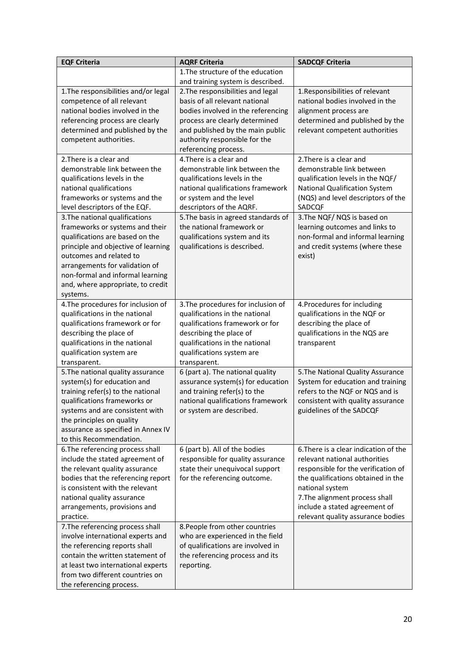| <b>EQF Criteria</b>                                                                                                                                                                                                                                                                           | <b>AQRF Criteria</b>                                                                                                                                                                                                                     | <b>SADCQF Criteria</b>                                                                                                                                                                                                                                                         |
|-----------------------------------------------------------------------------------------------------------------------------------------------------------------------------------------------------------------------------------------------------------------------------------------------|------------------------------------------------------------------------------------------------------------------------------------------------------------------------------------------------------------------------------------------|--------------------------------------------------------------------------------------------------------------------------------------------------------------------------------------------------------------------------------------------------------------------------------|
|                                                                                                                                                                                                                                                                                               | 1. The structure of the education<br>and training system is described.                                                                                                                                                                   |                                                                                                                                                                                                                                                                                |
| 1. The responsibilities and/or legal<br>competence of all relevant<br>national bodies involved in the<br>referencing process are clearly<br>determined and published by the<br>competent authorities.                                                                                         | 2. The responsibilities and legal<br>basis of all relevant national<br>bodies involved in the referencing<br>process are clearly determined<br>and published by the main public<br>authority responsible for the<br>referencing process. | 1. Responsibilities of relevant<br>national bodies involved in the<br>alignment process are<br>determined and published by the<br>relevant competent authorities                                                                                                               |
| 2. There is a clear and<br>demonstrable link between the<br>qualifications levels in the<br>national qualifications<br>frameworks or systems and the<br>level descriptors of the EQF.                                                                                                         | 4. There is a clear and<br>demonstrable link between the<br>qualifications levels in the<br>national qualifications framework<br>or system and the level<br>descriptors of the AQRF.                                                     | 2. There is a clear and<br>demonstrable link between<br>qualification levels in the NQF/<br>National Qualification System<br>(NQS) and level descriptors of the<br>SADCQF                                                                                                      |
| 3. The national qualifications<br>frameworks or systems and their<br>qualifications are based on the<br>principle and objective of learning<br>outcomes and related to<br>arrangements for validation of<br>non-formal and informal learning<br>and, where appropriate, to credit<br>systems. | 5. The basis in agreed standards of<br>the national framework or<br>qualifications system and its<br>qualifications is described.                                                                                                        | 3. The NQF/NQS is based on<br>learning outcomes and links to<br>non-formal and informal learning<br>and credit systems (where these<br>exist)                                                                                                                                  |
| 4. The procedures for inclusion of<br>qualifications in the national<br>qualifications framework or for<br>describing the place of<br>qualifications in the national<br>qualification system are<br>transparent.                                                                              | 3. The procedures for inclusion of<br>qualifications in the national<br>qualifications framework or for<br>describing the place of<br>qualifications in the national<br>qualifications system are<br>transparent.                        | 4. Procedures for including<br>qualifications in the NQF or<br>describing the place of<br>qualifications in the NQS are<br>transparent                                                                                                                                         |
| 5. The national quality assurance<br>system(s) for education and<br>training refer(s) to the national<br>qualifications frameworks or<br>systems and are consistent with<br>the principles on quality<br>assurance as specified in Annex IV<br>to this Recommendation.                        | 6 (part a). The national quality<br>assurance system(s) for education<br>and training refer(s) to the<br>national qualifications framework<br>or system are described.                                                                   | 5. The National Quality Assurance<br>System for education and training<br>refers to the NQF or NQS and is<br>consistent with quality assurance<br>guidelines of the SADCQF                                                                                                     |
| 6. The referencing process shall<br>include the stated agreement of<br>the relevant quality assurance<br>bodies that the referencing report<br>is consistent with the relevant<br>national quality assurance<br>arrangements, provisions and<br>practice.                                     | 6 (part b). All of the bodies<br>responsible for quality assurance<br>state their unequivocal support<br>for the referencing outcome.                                                                                                    | 6. There is a clear indication of the<br>relevant national authorities<br>responsible for the verification of<br>the qualifications obtained in the<br>national system<br>7. The alignment process shall<br>include a stated agreement of<br>relevant quality assurance bodies |
| 7. The referencing process shall<br>involve international experts and<br>the referencing reports shall<br>contain the written statement of<br>at least two international experts<br>from two different countries on<br>the referencing process.                                               | 8. People from other countries<br>who are experienced in the field<br>of qualifications are involved in<br>the referencing process and its<br>reporting.                                                                                 |                                                                                                                                                                                                                                                                                |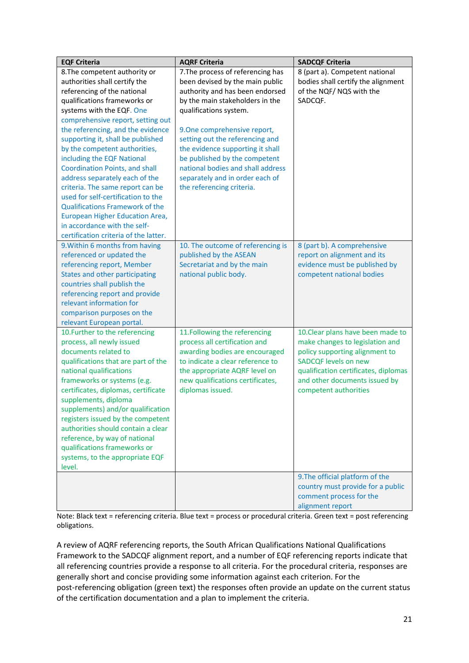| <b>EQF Criteria</b>                                         | <b>AQRF Criteria</b>                                          | <b>SADCQF Criteria</b>                                               |
|-------------------------------------------------------------|---------------------------------------------------------------|----------------------------------------------------------------------|
| 8. The competent authority or                               | 7. The process of referencing has                             | 8 (part a). Competent national                                       |
| authorities shall certify the                               | been devised by the main public                               | bodies shall certify the alignment                                   |
| referencing of the national                                 | authority and has been endorsed                               | of the NQF/NQS with the                                              |
| qualifications frameworks or                                | by the main stakeholders in the                               | SADCQF.                                                              |
| systems with the EQF. One                                   | qualifications system.                                        |                                                                      |
| comprehensive report, setting out                           |                                                               |                                                                      |
| the referencing, and the evidence                           | 9. One comprehensive report,                                  |                                                                      |
| supporting it, shall be published                           | setting out the referencing and                               |                                                                      |
| by the competent authorities,                               | the evidence supporting it shall                              |                                                                      |
| including the EQF National                                  | be published by the competent                                 |                                                                      |
| <b>Coordination Points, and shall</b>                       | national bodies and shall address                             |                                                                      |
| address separately each of the                              | separately and in order each of                               |                                                                      |
| criteria. The same report can be                            | the referencing criteria.                                     |                                                                      |
| used for self-certification to the                          |                                                               |                                                                      |
| <b>Qualifications Framework of the</b>                      |                                                               |                                                                      |
| European Higher Education Area,                             |                                                               |                                                                      |
| in accordance with the self-                                |                                                               |                                                                      |
| certification criteria of the latter.                       |                                                               |                                                                      |
| 9. Within 6 months from having                              | 10. The outcome of referencing is                             | 8 (part b). A comprehensive                                          |
| referenced or updated the                                   | published by the ASEAN                                        | report on alignment and its                                          |
| referencing report, Member                                  | Secretariat and by the main                                   | evidence must be published by                                        |
| States and other participating                              | national public body.                                         | competent national bodies                                            |
| countries shall publish the                                 |                                                               |                                                                      |
| referencing report and provide                              |                                                               |                                                                      |
| relevant information for                                    |                                                               |                                                                      |
| comparison purposes on the                                  |                                                               |                                                                      |
| relevant European portal.<br>10. Further to the referencing |                                                               |                                                                      |
| process, all newly issued                                   | 11.Following the referencing<br>process all certification and | 10. Clear plans have been made to<br>make changes to legislation and |
| documents related to                                        | awarding bodies are encouraged                                | policy supporting alignment to                                       |
| qualifications that are part of the                         | to indicate a clear reference to                              | <b>SADCQF levels on new</b>                                          |
| national qualifications                                     | the appropriate AQRF level on                                 | qualification certificates, diplomas                                 |
| frameworks or systems (e.g.                                 | new qualifications certificates,                              | and other documents issued by                                        |
| certificates, diplomas, certificate                         | diplomas issued.                                              | competent authorities                                                |
|                                                             |                                                               |                                                                      |
| supplements, diploma<br>supplements) and/or qualification   |                                                               |                                                                      |
| registers issued by the competent                           |                                                               |                                                                      |
| authorities should contain a clear                          |                                                               |                                                                      |
| reference, by way of national                               |                                                               |                                                                      |
| qualifications frameworks or                                |                                                               |                                                                      |
| systems, to the appropriate EQF                             |                                                               |                                                                      |
| level.                                                      |                                                               |                                                                      |
|                                                             |                                                               | 9. The official platform of the                                      |
|                                                             |                                                               | country must provide for a public                                    |
|                                                             |                                                               | comment process for the                                              |
|                                                             |                                                               | alignment report                                                     |

Note: Black text = referencing criteria. Blue text = process or procedural criteria. Green text = post referencing obligations.

A review of AQRF referencing reports, the South African Qualifications National Qualifications Framework to the SADCQF alignment report, and a number of EQF referencing reports indicate that all referencing countries provide a response to all criteria. For the procedural criteria, responses are generally short and concise providing some information against each criterion. For the post-referencing obligation (green text) the responses often provide an update on the current status of the certification documentation and a plan to implement the criteria.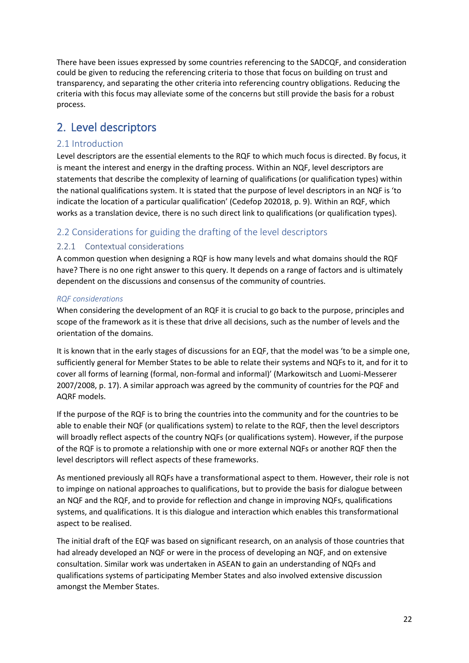There have been issues expressed by some countries referencing to the SADCQF, and consideration could be given to reducing the referencing criteria to those that focus on building on trust and transparency, and separating the other criteria into referencing country obligations. Reducing the criteria with this focus may alleviate some of the concerns but still provide the basis for a robust process.

### <span id="page-21-0"></span>2. Level descriptors

#### <span id="page-21-1"></span>2.1 Introduction

Level descriptors are the essential elements to the RQF to which much focus is directed. By focus, it is meant the interest and energy in the drafting process. Within an NQF, level descriptors are statements that describe the complexity of learning of qualifications (or qualification types) within the national qualifications system. It is stated that the purpose of level descriptors in an NQF is 'to indicate the location of a particular qualification' (Cedefop 202018, p. 9). Within an RQF, which works as a translation device, there is no such direct link to qualifications (or qualification types).

#### <span id="page-21-2"></span>2.2 Considerations for guiding the drafting of the level descriptors

#### <span id="page-21-3"></span>2.2.1 Contextual considerations

A common question when designing a RQF is how many levels and what domains should the RQF have? There is no one right answer to this query. It depends on a range of factors and is ultimately dependent on the discussions and consensus of the community of countries.

#### *RQF considerations*

When considering the development of an RQF it is crucial to go back to the purpose, principles and scope of the framework as it is these that drive all decisions, such as the number of levels and the orientation of the domains.

It is known that in the early stages of discussions for an EQF, that the model was 'to be a simple one, sufficiently general for Member States to be able to relate their systems and NQFs to it, and for it to cover all forms of learning (formal, non-formal and informal)' (Markowitsch and Luomi-Messerer 2007/2008, p. 17). A similar approach was agreed by the community of countries for the PQF and AQRF models.

If the purpose of the RQF is to bring the countries into the community and for the countries to be able to enable their NQF (or qualifications system) to relate to the RQF, then the level descriptors will broadly reflect aspects of the country NQFs (or qualifications system). However, if the purpose of the RQF is to promote a relationship with one or more external NQFs or another RQF then the level descriptors will reflect aspects of these frameworks.

As mentioned previously all RQFs have a transformational aspect to them. However, their role is not to impinge on national approaches to qualifications, but to provide the basis for dialogue between an NQF and the RQF, and to provide for reflection and change in improving NQFs, qualifications systems, and qualifications. It is this dialogue and interaction which enables this transformational aspect to be realised.

The initial draft of the EQF was based on significant research, on an analysis of those countries that had already developed an NQF or were in the process of developing an NQF, and on extensive consultation. Similar work was undertaken in ASEAN to gain an understanding of NQFs and qualifications systems of participating Member States and also involved extensive discussion amongst the Member States.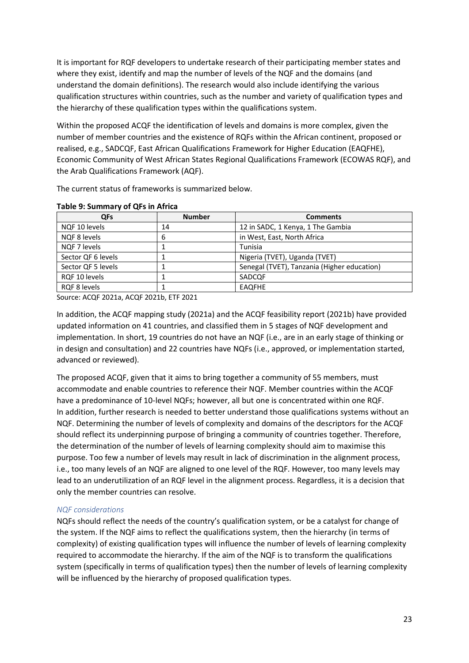It is important for RQF developers to undertake research of their participating member states and where they exist, identify and map the number of levels of the NQF and the domains (and understand the domain definitions). The research would also include identifying the various qualification structures within countries, such as the number and variety of qualification types and the hierarchy of these qualification types within the qualifications system.

Within the proposed ACQF the identification of levels and domains is more complex, given the number of member countries and the existence of RQFs within the African continent, proposed or realised, e.g., SADCQF, East African Qualifications Framework for Higher Education (EAQFHE), Economic Community of West African States Regional Qualifications Framework (ECOWAS RQF), and the Arab Qualifications Framework (AQF).

The current status of frameworks is summarized below.

| <b>QFs</b>         | <b>Number</b> | <b>Comments</b>                             |
|--------------------|---------------|---------------------------------------------|
| NQF 10 levels      | 14            | 12 in SADC, 1 Kenya, 1 The Gambia           |
| NQF 8 levels       | 6             | in West, East, North Africa                 |
| NOF 7 levels       |               | Tunisia                                     |
| Sector QF 6 levels |               | Nigeria (TVET), Uganda (TVET)               |
| Sector QF 5 levels |               | Senegal (TVET), Tanzania (Higher education) |
| RQF 10 levels      |               | SADCQF                                      |
| RQF 8 levels       |               | <b>EAQFHE</b>                               |

#### <span id="page-22-0"></span>**Table 9: Summary of QFs in Africa**

Source: ACQF 2021a, ACQF 2021b, ETF 2021

In addition, the ACQF mapping study (2021a) and the ACQF feasibility report (2021b) have provided updated information on 41 countries, and classified them in 5 stages of NQF development and implementation. In short, 19 countries do not have an NQF (i.e., are in an early stage of thinking or in design and consultation) and 22 countries have NQFs (i.e., approved, or implementation started, advanced or reviewed).

The proposed ACQF, given that it aims to bring together a community of 55 members, must accommodate and enable countries to reference their NQF. Member countries within the ACQF have a predominance of 10-level NQFs; however, all but one is concentrated within one RQF. In addition, further research is needed to better understand those qualifications systems without an NQF. Determining the number of levels of complexity and domains of the descriptors for the ACQF should reflect its underpinning purpose of bringing a community of countries together. Therefore, the determination of the number of levels of learning complexity should aim to maximise this purpose. Too few a number of levels may result in lack of discrimination in the alignment process, i.e., too many levels of an NQF are aligned to one level of the RQF. However, too many levels may lead to an underutilization of an RQF level in the alignment process. Regardless, it is a decision that only the member countries can resolve.

#### *NQF considerations*

NQFs should reflect the needs of the country's qualification system, or be a catalyst for change of the system. If the NQF aims to reflect the qualifications system, then the hierarchy (in terms of complexity) of existing qualification types will influence the number of levels of learning complexity required to accommodate the hierarchy. If the aim of the NQF is to transform the qualifications system (specifically in terms of qualification types) then the number of levels of learning complexity will be influenced by the hierarchy of proposed qualification types.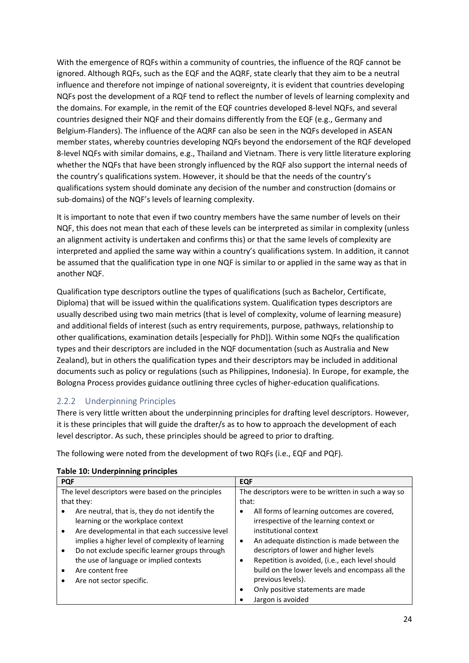With the emergence of RQFs within a community of countries, the influence of the RQF cannot be ignored. Although RQFs, such as the EQF and the AQRF, state clearly that they aim to be a neutral influence and therefore not impinge of national sovereignty, it is evident that countries developing NQFs post the development of a RQF tend to reflect the number of levels of learning complexity and the domains. For example, in the remit of the EQF countries developed 8-level NQFs, and several countries designed their NQF and their domains differently from the EQF (e.g., Germany and Belgium-Flanders). The influence of the AQRF can also be seen in the NQFs developed in ASEAN member states, whereby countries developing NQFs beyond the endorsement of the RQF developed 8-level NQFs with similar domains, e.g., Thailand and Vietnam. There is very little literature exploring whether the NQFs that have been strongly influenced by the RQF also support the internal needs of the country's qualifications system. However, it should be that the needs of the country's qualifications system should dominate any decision of the number and construction (domains or sub-domains) of the NQF's levels of learning complexity.

It is important to note that even if two country members have the same number of levels on their NQF, this does not mean that each of these levels can be interpreted as similar in complexity (unless an alignment activity is undertaken and confirms this) or that the same levels of complexity are interpreted and applied the same way within a country's qualifications system. In addition, it cannot be assumed that the qualification type in one NQF is similar to or applied in the same way as that in another NQF.

Qualification type descriptors outline the types of qualifications (such as Bachelor, Certificate, Diploma) that will be issued within the qualifications system. Qualification types descriptors are usually described using two main metrics (that is level of complexity, volume of learning measure) and additional fields of interest (such as entry requirements, purpose, pathways, relationship to other qualifications, examination details [especially for PhD]). Within some NQFs the qualification types and their descriptors are included in the NQF documentation (such as Australia and New Zealand), but in others the qualification types and their descriptors may be included in additional documents such as policy or regulations (such as Philippines, Indonesia). In Europe, for example, the Bologna Process provides guidance outlining three cycles of higher-education [qualifications.](https://en.wiktionary.org/wiki/qualification)

#### <span id="page-23-0"></span>2.2.2 Underpinning Principles

There is very little written about the underpinning principles for drafting level descriptors. However, it is these principles that will guide the drafter/s as to how to approach the development of each level descriptor. As such, these principles should be agreed to prior to drafting.

The following were noted from the development of two RQFs (i.e., EQF and PQF).

| <b>PQF</b>                                                                                                                                                                                                                                                                                                                                                        | <b>EQF</b>                                                                                                                                                                                                                                                                                                                                                                                    |
|-------------------------------------------------------------------------------------------------------------------------------------------------------------------------------------------------------------------------------------------------------------------------------------------------------------------------------------------------------------------|-----------------------------------------------------------------------------------------------------------------------------------------------------------------------------------------------------------------------------------------------------------------------------------------------------------------------------------------------------------------------------------------------|
| The level descriptors were based on the principles                                                                                                                                                                                                                                                                                                                | The descriptors were to be written in such a way so                                                                                                                                                                                                                                                                                                                                           |
| that they:                                                                                                                                                                                                                                                                                                                                                        | that:                                                                                                                                                                                                                                                                                                                                                                                         |
| Are neutral, that is, they do not identify the<br>learning or the workplace context<br>Are developmental in that each successive level<br>$\bullet$<br>implies a higher level of complexity of learning<br>Do not exclude specific learner groups through<br>$\bullet$<br>the use of language or implied contexts<br>Are content free<br>Are not sector specific. | All forms of learning outcomes are covered,<br>irrespective of the learning context or<br>institutional context<br>An adequate distinction is made between the<br>descriptors of lower and higher levels<br>Repetition is avoided, (i.e., each level should<br>build on the lower levels and encompass all the<br>previous levels).<br>Only positive statements are made<br>Jargon is avoided |

#### <span id="page-23-1"></span>**Table 10: Underpinning principles**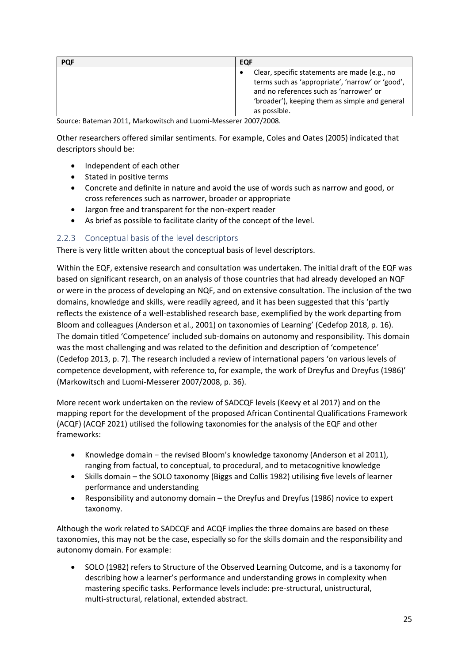| <b>PQF</b> | EQF                                                                                                                                                                                                            |
|------------|----------------------------------------------------------------------------------------------------------------------------------------------------------------------------------------------------------------|
|            | Clear, specific statements are made (e.g., no<br>terms such as 'appropriate', 'narrow' or 'good',<br>and no references such as 'narrower' or<br>'broader'), keeping them as simple and general<br>as possible. |

Source: Bateman 2011, Markowitsch and Luomi-Messerer 2007/2008.

Other researchers offered similar sentiments. For example, Coles and Oates (2005) indicated that descriptors should be:

- Independent of each other
- Stated in positive terms
- Concrete and definite in nature and avoid the use of words such as narrow and good, or cross references such as narrower, broader or appropriate
- Jargon free and transparent for the non-expert reader
- As brief as possible to facilitate clarity of the concept of the level.

#### <span id="page-24-0"></span>2.2.3 Conceptual basis of the level descriptors

There is very little written about the conceptual basis of level descriptors.

Within the EQF, extensive research and consultation was undertaken. The initial draft of the EQF was based on significant research, on an analysis of those countries that had already developed an NQF or were in the process of developing an NQF, and on extensive consultation. The inclusion of the two domains, knowledge and skills, were readily agreed, and it has been suggested that this 'partly reflects the existence of a well-established research base, exemplified by the work departing from Bloom and colleagues (Anderson et al., 2001) on taxonomies of Learning' (Cedefop 2018, p. 16). The domain titled 'Competence' included sub-domains on autonomy and responsibility. This domain was the most challenging and was related to the definition and description of 'competence' (Cedefop 2013, p. 7). The research included a review of international papers 'on various levels of competence development, with reference to, for example, the work of Dreyfus and Dreyfus (1986)' (Markowitsch and Luomi-Messerer 2007/2008, p. 36).

More recent work undertaken on the review of SADCQF levels (Keevy et al 2017) and on the mapping report for the development of the proposed African Continental Qualifications Framework (ACQF) (ACQF 2021) utilised the following taxonomies for the analysis of the EQF and other frameworks:

- Knowledge domain − the revised Bloom's knowledge taxonomy (Anderson et al 2011), ranging from factual, to conceptual, to procedural, and to metacognitive knowledge
- Skills domain the SOLO taxonomy (Biggs and Collis 1982) utilising five levels of learner performance and understanding
- Responsibility and autonomy domain the Dreyfus and Dreyfus (1986) novice to expert taxonomy.

Although the work related to SADCQF and ACQF implies the three domains are based on these taxonomies, this may not be the case, especially so for the skills domain and the responsibility and autonomy domain. For example:

• SOLO (1982) refers to Structure of the Observed Learning Outcome, and is a taxonomy for describing how a learner's performance and understanding grows in complexity when mastering specific tasks. Performance levels include: pre-structural, unistructural, multi-structural, relational, extended abstract.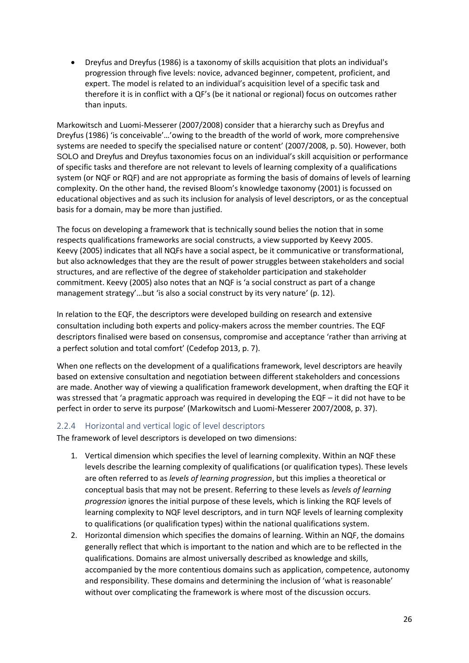• Dreyfus and Dreyfus (1986) is a taxonomy of skills acquisition that plots an individual's progression through five levels: novice, advanced beginner, competent, proficient, and expert. The model is related to an individual's acquisition level of a specific task and therefore it is in conflict with a QF's (be it national or regional) focus on outcomes rather than inputs.

Markowitsch and Luomi-Messerer (2007/2008) consider that a hierarchy such as Dreyfus and Dreyfus (1986) 'is conceivable'…'owing to the breadth of the world of work, more comprehensive systems are needed to specify the specialised nature or content' (2007/2008, p. 50). However, both SOLO and Dreyfus and Dreyfus taxonomies focus on an individual's skill acquisition or performance of specific tasks and therefore are not relevant to levels of learning complexity of a qualifications system (or NQF or RQF) and are not appropriate as forming the basis of domains of levels of learning complexity. On the other hand, the revised Bloom's knowledge taxonomy (2001) is focussed on educational objectives and as such its inclusion for analysis of level descriptors, or as the conceptual basis for a domain, may be more than justified.

The focus on developing a framework that is technically sound belies the notion that in some respects qualifications frameworks are social constructs, a view supported by Keevy 2005. Keevy (2005) indicates that all NQFs have a social aspect, be it communicative or transformational, but also acknowledges that they are the result of power struggles between stakeholders and social structures, and are reflective of the degree of stakeholder participation and stakeholder commitment. Keevy (2005) also notes that an NQF is 'a social construct as part of a change management strategy'...but 'is also a social construct by its very nature' (p. 12).

In relation to the EQF, the descriptors were developed building on research and extensive consultation including both experts and policy-makers across the member countries. The EQF descriptors finalised were based on consensus, compromise and acceptance 'rather than arriving at a perfect solution and total comfort' (Cedefop 2013, p. 7).

When one reflects on the development of a qualifications framework, level descriptors are heavily based on extensive consultation and negotiation between different stakeholders and concessions are made. Another way of viewing a qualification framework development, when drafting the EQF it was stressed that 'a pragmatic approach was required in developing the EQF – it did not have to be perfect in order to serve its purpose' (Markowitsch and Luomi-Messerer 2007/2008, p. 37).

#### <span id="page-25-0"></span>2.2.4 Horizontal and vertical logic of level descriptors

The framework of level descriptors is developed on two dimensions:

- 1. Vertical dimension which specifies the level of learning complexity. Within an NQF these levels describe the learning complexity of qualifications (or qualification types). These levels are often referred to as *levels of learning progression*, but this implies a theoretical or conceptual basis that may not be present. Referring to these levels as *levels of learning progression* ignores the initial purpose of these levels, which is linking the RQF levels of learning complexity to NQF level descriptors, and in turn NQF levels of learning complexity to qualifications (or qualification types) within the national qualifications system.
- 2. Horizontal dimension which specifies the domains of learning. Within an NQF, the domains generally reflect that which is important to the nation and which are to be reflected in the qualifications. Domains are almost universally described as knowledge and skills, accompanied by the more contentious domains such as application, competence, autonomy and responsibility. These domains and determining the inclusion of 'what is reasonable' without over complicating the framework is where most of the discussion occurs.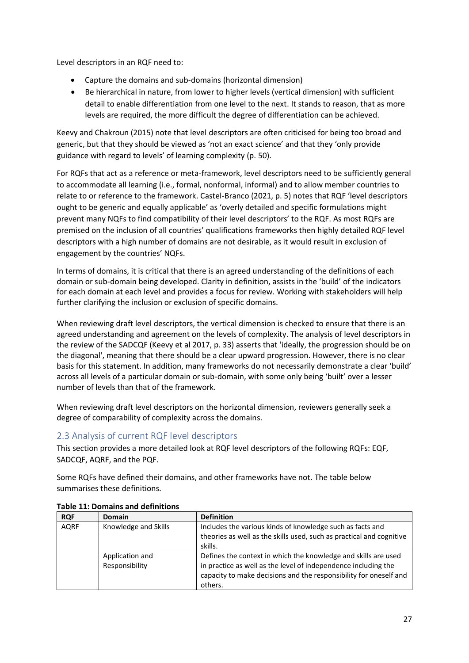Level descriptors in an RQF need to:

- Capture the domains and sub-domains (horizontal dimension)
- Be hierarchical in nature, from lower to higher levels (vertical dimension) with sufficient detail to enable differentiation from one level to the next. It stands to reason, that as more levels are required, the more difficult the degree of differentiation can be achieved.

Keevy and Chakroun (2015) note that level descriptors are often criticised for being too broad and generic, but that they should be viewed as 'not an exact science' and that they 'only provide guidance with regard to levels' of learning complexity (p. 50).

For RQFs that act as a reference or meta-framework, level descriptors need to be sufficiently general to accommodate all learning (i.e., formal, nonformal, informal) and to allow member countries to relate to or reference to the framework. Castel-Branco (2021, p. 5) notes that RQF 'level descriptors ought to be generic and equally applicable' as 'overly detailed and specific formulations might prevent many NQFs to find compatibility of their level descriptors' to the RQF. As most RQFs are premised on the inclusion of all countries' qualifications frameworks then highly detailed RQF level descriptors with a high number of domains are not desirable, as it would result in exclusion of engagement by the countries' NQFs.

In terms of domains, it is critical that there is an agreed understanding of the definitions of each domain or sub-domain being developed. Clarity in definition, assists in the 'build' of the indicators for each domain at each level and provides a focus for review. Working with stakeholders will help further clarifying the inclusion or exclusion of specific domains.

When reviewing draft level descriptors, the vertical dimension is checked to ensure that there is an agreed understanding and agreement on the levels of complexity. The analysis of level descriptors in the review of the SADCQF (Keevy et al 2017, p. 33) asserts that 'ideally, the progression should be on the diagonal', meaning that there should be a clear upward progression. However, there is no clear basis for this statement. In addition, many frameworks do not necessarily demonstrate a clear 'build' across all levels of a particular domain or sub-domain, with some only being 'built' over a lesser number of levels than that of the framework.

When reviewing draft level descriptors on the horizontal dimension, reviewers generally seek a degree of comparability of complexity across the domains.

#### <span id="page-26-0"></span>2.3 Analysis of current RQF level descriptors

This section provides a more detailed look at RQF level descriptors of the following RQFs: EQF, SADCQF, AQRF, and the PQF.

Some RQFs have defined their domains, and other frameworks have not. The table below summarises these definitions.

| <b>RQF</b>  | <b>Domain</b>                     | <b>Definition</b>                                                                                                                                                                                                |
|-------------|-----------------------------------|------------------------------------------------------------------------------------------------------------------------------------------------------------------------------------------------------------------|
| <b>AQRF</b> | Knowledge and Skills              | Includes the various kinds of knowledge such as facts and<br>theories as well as the skills used, such as practical and cognitive<br>skills.                                                                     |
|             | Application and<br>Responsibility | Defines the context in which the knowledge and skills are used<br>in practice as well as the level of independence including the<br>capacity to make decisions and the responsibility for oneself and<br>others. |

#### <span id="page-26-1"></span>**Table 11: Domains and definitions**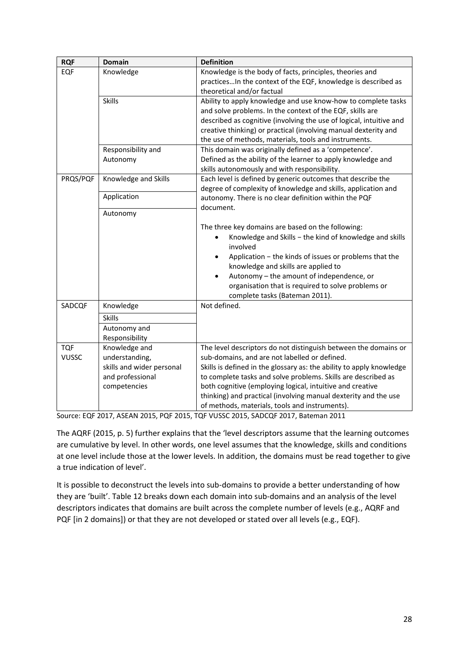| <b>RQF</b>   | <b>Domain</b>                                 | <b>Definition</b>                                                                                                                                                                                                                                                                                                                                                                |
|--------------|-----------------------------------------------|----------------------------------------------------------------------------------------------------------------------------------------------------------------------------------------------------------------------------------------------------------------------------------------------------------------------------------------------------------------------------------|
| EQF          | Knowledge                                     | Knowledge is the body of facts, principles, theories and<br>practicesIn the context of the EQF, knowledge is described as<br>theoretical and/or factual                                                                                                                                                                                                                          |
|              | Skills                                        | Ability to apply knowledge and use know-how to complete tasks<br>and solve problems. In the context of the EQF, skills are<br>described as cognitive (involving the use of logical, intuitive and<br>creative thinking) or practical (involving manual dexterity and<br>the use of methods, materials, tools and instruments.                                                    |
|              | Responsibility and                            | This domain was originally defined as a 'competence'.                                                                                                                                                                                                                                                                                                                            |
|              | Autonomy                                      | Defined as the ability of the learner to apply knowledge and<br>skills autonomously and with responsibility.                                                                                                                                                                                                                                                                     |
| PRQS/PQF     | Knowledge and Skills                          | Each level is defined by generic outcomes that describe the<br>degree of complexity of knowledge and skills, application and                                                                                                                                                                                                                                                     |
|              | Application                                   | autonomy. There is no clear definition within the PQF<br>document.                                                                                                                                                                                                                                                                                                               |
|              | Autonomy                                      |                                                                                                                                                                                                                                                                                                                                                                                  |
|              |                                               | The three key domains are based on the following:<br>Knowledge and Skills - the kind of knowledge and skills<br>involved<br>Application - the kinds of issues or problems that the<br>٠<br>knowledge and skills are applied to<br>Autonomy - the amount of independence, or<br>$\bullet$<br>organisation that is required to solve problems or<br>complete tasks (Bateman 2011). |
| SADCQF       | Knowledge                                     | Not defined.                                                                                                                                                                                                                                                                                                                                                                     |
|              | <b>Skills</b>                                 |                                                                                                                                                                                                                                                                                                                                                                                  |
|              | Autonomy and<br>Responsibility                |                                                                                                                                                                                                                                                                                                                                                                                  |
| <b>TQF</b>   | Knowledge and                                 | The level descriptors do not distinguish between the domains or                                                                                                                                                                                                                                                                                                                  |
| <b>VUSSC</b> | understanding,                                | sub-domains, and are not labelled or defined.                                                                                                                                                                                                                                                                                                                                    |
|              | skills and wider personal<br>and professional | Skills is defined in the glossary as: the ability to apply knowledge<br>to complete tasks and solve problems. Skills are described as                                                                                                                                                                                                                                            |
|              | competencies                                  | both cognitive (employing logical, intuitive and creative                                                                                                                                                                                                                                                                                                                        |
|              |                                               | thinking) and practical (involving manual dexterity and the use                                                                                                                                                                                                                                                                                                                  |
|              |                                               | of methods, materials, tools and instruments).                                                                                                                                                                                                                                                                                                                                   |

Source: EQF 2017, ASEAN 2015, PQF 2015, TQF VUSSC 2015, SADCQF 2017, Bateman 2011

The AQRF (2015, p. 5) further explains that the 'level descriptors assume that the learning outcomes are cumulative by level. In other words, one level assumes that the knowledge, skills and conditions at one level include those at the lower levels. In addition, the domains must be read together to give a true indication of level'.

It is possible to deconstruct the levels into sub-domains to provide a better understanding of how they are 'built'. Table 12 breaks down each domain into sub-domains and an analysis of the level descriptors indicates that domains are built across the complete number of levels (e.g., AQRF and PQF [in 2 domains]) or that they are not developed or stated over all levels (e.g., EQF).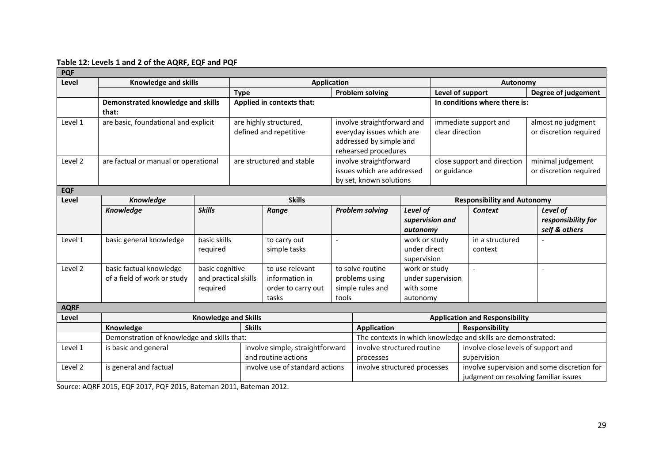#### **Table 12: Levels 1 and 2 of the AQRF, EQF and PQF**

| <b>PQF</b>                                      |                                                        |                                                     |                    |                                                                                                             |                                         |                                                                                                  |                                         |                                                                                      |                                                              |                                                 |
|-------------------------------------------------|--------------------------------------------------------|-----------------------------------------------------|--------------------|-------------------------------------------------------------------------------------------------------------|-----------------------------------------|--------------------------------------------------------------------------------------------------|-----------------------------------------|--------------------------------------------------------------------------------------|--------------------------------------------------------------|-------------------------------------------------|
| Level                                           | <b>Knowledge and skills</b>                            |                                                     | <b>Application</b> |                                                                                                             |                                         | Autonomy                                                                                         |                                         |                                                                                      |                                                              |                                                 |
|                                                 |                                                        |                                                     | <b>Type</b>        | <b>Problem solving</b>                                                                                      |                                         |                                                                                                  | Level of support                        |                                                                                      |                                                              | Degree of judgement                             |
|                                                 | Demonstrated knowledge and skills<br>that:             |                                                     |                    | Applied in contexts that:                                                                                   |                                         |                                                                                                  | In conditions where there is:           |                                                                                      |                                                              |                                                 |
| are basic, foundational and explicit<br>Level 1 |                                                        | are highly structured,<br>defined and repetitive    |                    | involve straightforward and<br>everyday issues which are<br>addressed by simple and<br>rehearsed procedures |                                         | clear direction                                                                                  | immediate support and                   | almost no judgment<br>or discretion required                                         |                                                              |                                                 |
| Level 2                                         | are factual or manual or operational                   |                                                     |                    | are structured and stable                                                                                   |                                         | involve straightforward<br>issues which are addressed<br>by set, known solutions                 |                                         | close support and direction<br>or guidance                                           |                                                              | minimal judgement<br>or discretion required     |
| <b>EQF</b>                                      |                                                        |                                                     |                    |                                                                                                             |                                         |                                                                                                  |                                         |                                                                                      |                                                              |                                                 |
| Level                                           | <b>Knowledge</b>                                       |                                                     |                    | <b>Skills</b>                                                                                               |                                         |                                                                                                  |                                         |                                                                                      | <b>Responsibility and Autonomy</b>                           |                                                 |
|                                                 | <b>Knowledge</b>                                       | <b>Skills</b>                                       |                    | Range                                                                                                       |                                         | <b>Problem solving</b>                                                                           | Level of<br>supervision and<br>autonomy |                                                                                      | <b>Context</b>                                               | Level of<br>responsibility for<br>self & others |
| Level 1                                         | basic general knowledge                                | basic skills<br>required                            |                    | to carry out<br>simple tasks                                                                                | $\overline{a}$                          | work or study<br>under direct<br>supervision                                                     |                                         |                                                                                      | in a structured<br>context                                   |                                                 |
| Level 2                                         | basic factual knowledge<br>of a field of work or study | basic cognitive<br>and practical skills<br>required |                    | to use relevant<br>information in<br>order to carry out<br>tasks                                            | tools                                   | to solve routine<br>work or study<br>problems using<br>simple rules and<br>with some<br>autonomy |                                         | under supervision                                                                    | $\blacksquare$                                               | $\blacksquare$                                  |
| <b>AQRF</b>                                     |                                                        |                                                     |                    |                                                                                                             |                                         |                                                                                                  |                                         |                                                                                      |                                                              |                                                 |
| Level                                           | <b>Knowledge and Skills</b>                            |                                                     |                    |                                                                                                             | <b>Application and Responsibility</b>   |                                                                                                  |                                         |                                                                                      |                                                              |                                                 |
|                                                 | Knowledge                                              |                                                     | <b>Skills</b>      |                                                                                                             |                                         | <b>Application</b>                                                                               |                                         |                                                                                      | <b>Responsibility</b>                                        |                                                 |
|                                                 | Demonstration of knowledge and skills that:            |                                                     |                    |                                                                                                             |                                         |                                                                                                  |                                         |                                                                                      | The contexts in which knowledge and skills are demonstrated: |                                                 |
| Level 1                                         | is basic and general                                   |                                                     |                    | involve simple, straightforward<br>and routine actions                                                      | involve structured routine<br>processes |                                                                                                  |                                         | involve close levels of support and<br>supervision                                   |                                                              |                                                 |
| Level 2                                         | is general and factual                                 |                                                     |                    | involve use of standard actions                                                                             | involve structured processes            |                                                                                                  |                                         | involve supervision and some discretion for<br>judgment on resolving familiar issues |                                                              |                                                 |

<span id="page-28-0"></span>Source: AQRF 2015, EQF 2017, PQF 2015, Bateman 2011, Bateman 2012.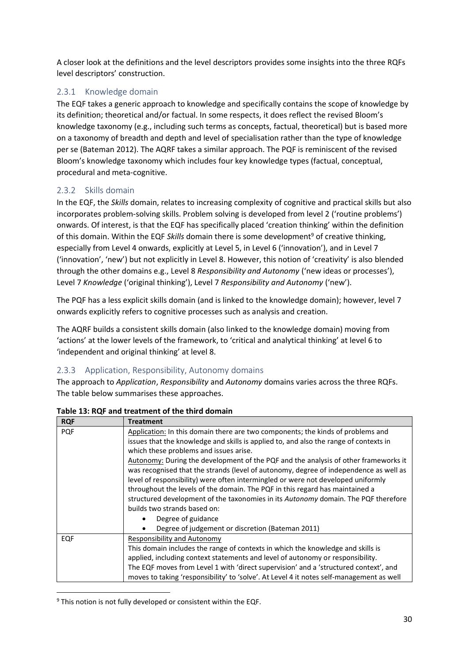A closer look at the definitions and the level descriptors provides some insights into the three RQFs level descriptors' construction.

#### <span id="page-29-0"></span>2.3.1 Knowledge domain

The EQF takes a generic approach to knowledge and specifically contains the scope of knowledge by its definition; theoretical and/or factual. In some respects, it does reflect the revised Bloom's knowledge taxonomy (e.g., including such terms as concepts, factual, theoretical) but is based more on a taxonomy of breadth and depth and level of specialisation rather than the type of knowledge per se (Bateman 2012). The AQRF takes a similar approach. The PQF is reminiscent of the revised Bloom's knowledge taxonomy which includes four key knowledge types (factual, conceptual, procedural and meta-cognitive.

#### <span id="page-29-1"></span>2.3.2 Skills domain

In the EQF, the *Skills* domain, relates to increasing complexity of cognitive and practical skills but also incorporates problem-solving skills. Problem solving is developed from level 2 ('routine problems') onwards. Of interest, is that the EQF has specifically placed 'creation thinking' within the definition of this domain. Within the EQF *Skills* domain there is some development<sup>9</sup> of creative thinking, especially from Level 4 onwards, explicitly at Level 5, in Level 6 ('innovation'), and in Level 7 ('innovation', 'new') but not explicitly in Level 8. However, this notion of 'creativity' is also blended through the other domains e.g., Level 8 *Responsibility and Autonomy* ('new ideas or processes'), Level 7 *Knowledge* ('original thinking'), Level 7 *Responsibility and Autonomy* ('new').

The PQF has a less explicit skills domain (and is linked to the knowledge domain); however, level 7 onwards explicitly refers to cognitive processes such as analysis and creation.

The AQRF builds a consistent skills domain (also linked to the knowledge domain) moving from 'actions' at the lower levels of the framework, to 'critical and analytical thinking' at level 6 to 'independent and original thinking' at level 8.

#### <span id="page-29-2"></span>2.3.3 Application, Responsibility, Autonomy domains

The approach to *Application*, *Responsibility* and *Autonomy* domains varies across the three RQFs. The table below summarises these approaches.

| <b>RQF</b> | <b>Treatment</b>                                                                         |  |  |  |  |  |
|------------|------------------------------------------------------------------------------------------|--|--|--|--|--|
| <b>PQF</b> | Application: In this domain there are two components; the kinds of problems and          |  |  |  |  |  |
|            | issues that the knowledge and skills is applied to, and also the range of contexts in    |  |  |  |  |  |
|            | which these problems and issues arise.                                                   |  |  |  |  |  |
|            | Autonomy: During the development of the PQF and the analysis of other frameworks it      |  |  |  |  |  |
|            | was recognised that the strands (level of autonomy, degree of independence as well as    |  |  |  |  |  |
|            | level of responsibility) were often intermingled or were not developed uniformly         |  |  |  |  |  |
|            | throughout the levels of the domain. The PQF in this regard has maintained a             |  |  |  |  |  |
|            | structured development of the taxonomies in its Autonomy domain. The PQF therefore       |  |  |  |  |  |
|            | builds two strands based on:                                                             |  |  |  |  |  |
|            | Degree of guidance<br>$\bullet$                                                          |  |  |  |  |  |
|            | Degree of judgement or discretion (Bateman 2011)<br>$\bullet$                            |  |  |  |  |  |
| EQF        | Responsibility and Autonomy                                                              |  |  |  |  |  |
|            | This domain includes the range of contexts in which the knowledge and skills is          |  |  |  |  |  |
|            | applied, including context statements and level of autonomy or responsibility.           |  |  |  |  |  |
|            | The EQF moves from Level 1 with 'direct supervision' and a 'structured context', and     |  |  |  |  |  |
|            | moves to taking 'responsibility' to 'solve'. At Level 4 it notes self-management as well |  |  |  |  |  |

<span id="page-29-3"></span>**Table 13: RQF and treatment of the third domain**

<sup>9</sup> This notion is not fully developed or consistent within the EQF.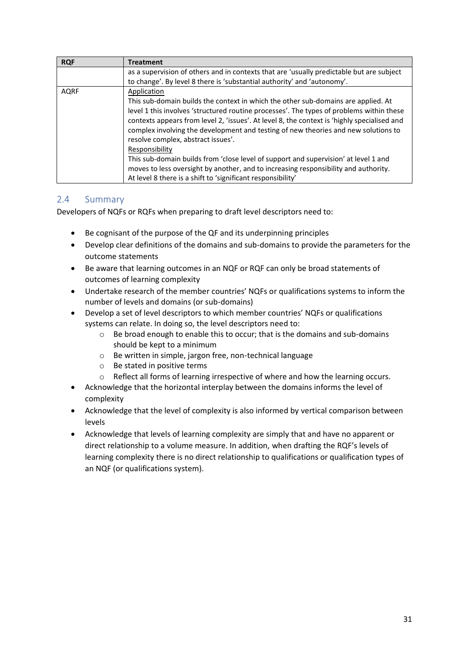| <b>RQF</b>  | <b>Treatment</b>                                                                                                                                                                                                                                                                                                                                                                                                                                                                                                                                                                                                                                                                       |
|-------------|----------------------------------------------------------------------------------------------------------------------------------------------------------------------------------------------------------------------------------------------------------------------------------------------------------------------------------------------------------------------------------------------------------------------------------------------------------------------------------------------------------------------------------------------------------------------------------------------------------------------------------------------------------------------------------------|
|             | as a supervision of others and in contexts that are 'usually predictable but are subject<br>to change'. By level 8 there is 'substantial authority' and 'autonomy'.                                                                                                                                                                                                                                                                                                                                                                                                                                                                                                                    |
| <b>AQRF</b> | Application<br>This sub-domain builds the context in which the other sub-domains are applied. At<br>level 1 this involves 'structured routine processes'. The types of problems within these<br>contexts appears from level 2, 'issues'. At level 8, the context is 'highly specialised and<br>complex involving the development and testing of new theories and new solutions to<br>resolve complex, abstract issues'.<br>Responsibility<br>This sub-domain builds from 'close level of support and supervision' at level 1 and<br>moves to less oversight by another, and to increasing responsibility and authority.<br>At level 8 there is a shift to 'significant responsibility' |

#### <span id="page-30-0"></span>2.4 Summary

Developers of NQFs or RQFs when preparing to draft level descriptors need to:

- Be cognisant of the purpose of the QF and its underpinning principles
- Develop clear definitions of the domains and sub-domains to provide the parameters for the outcome statements
- Be aware that learning outcomes in an NQF or RQF can only be broad statements of outcomes of learning complexity
- Undertake research of the member countries' NQFs or qualifications systems to inform the number of levels and domains (or sub-domains)
- Develop a set of level descriptors to which member countries' NQFs or qualifications systems can relate. In doing so, the level descriptors need to:
	- o Be broad enough to enable this to occur; that is the domains and sub-domains should be kept to a minimum
	- o Be written in simple, jargon free, non-technical language
	- o Be stated in positive terms
	- o Reflect all forms of learning irrespective of where and how the learning occurs.
- Acknowledge that the horizontal interplay between the domains informs the level of complexity
- Acknowledge that the level of complexity is also informed by vertical comparison between levels
- Acknowledge that levels of learning complexity are simply that and have no apparent or direct relationship to a volume measure. In addition, when drafting the RQF's levels of learning complexity there is no direct relationship to qualifications or qualification types of an NQF (or qualifications system).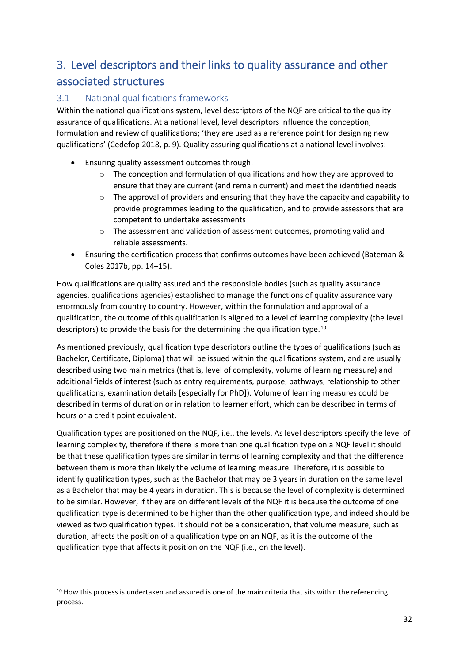# <span id="page-31-0"></span>3. Level descriptors and their links to quality assurance and other associated structures

### <span id="page-31-1"></span>3.1 National qualifications frameworks

Within the national qualifications system, level descriptors of the NQF are critical to the quality assurance of qualifications. At a national level, level descriptors influence the conception, formulation and review of qualifications; 'they are used as a reference point for designing new qualifications' (Cedefop 2018, p. 9). Quality assuring qualifications at a national level involves:

- Ensuring quality assessment outcomes through:
	- o The conception and formulation of qualifications and how they are approved to ensure that they are current (and remain current) and meet the identified needs
	- $\circ$  The approval of providers and ensuring that they have the capacity and capability to provide programmes leading to the qualification, and to provide assessors that are competent to undertake assessments
	- $\circ$  The assessment and validation of assessment outcomes, promoting valid and reliable assessments.
- Ensuring the certification process that confirms outcomes have been achieved (Bateman & Coles 2017b, pp. 14−15).

How qualifications are quality assured and the responsible bodies (such as quality assurance agencies, qualifications agencies) established to manage the functions of quality assurance vary enormously from country to country. However, within the formulation and approval of a qualification, the outcome of this qualification is aligned to a level of learning complexity (the level descriptors) to provide the basis for the determining the qualification type.<sup>10</sup>

As mentioned previously, qualification type descriptors outline the types of qualifications (such as Bachelor, Certificate, Diploma) that will be issued within the qualifications system, and are usually described using two main metrics (that is, level of complexity, volume of learning measure) and additional fields of interest (such as entry requirements, purpose, pathways, relationship to other qualifications, examination details [especially for PhD]). Volume of learning measures could be described in terms of duration or in relation to learner effort, which can be described in terms of hours or a credit point equivalent.

Qualification types are positioned on the NQF, i.e., the levels. As level descriptors specify the level of learning complexity, therefore if there is more than one qualification type on a NQF level it should be that these qualification types are similar in terms of learning complexity and that the difference between them is more than likely the volume of learning measure. Therefore, it is possible to identify qualification types, such as the Bachelor that may be 3 years in duration on the same level as a Bachelor that may be 4 years in duration. This is because the level of complexity is determined to be similar. However, if they are on different levels of the NQF it is because the outcome of one qualification type is determined to be higher than the other qualification type, and indeed should be viewed as two qualification types. It should not be a consideration, that volume measure, such as duration, affects the position of a qualification type on an NQF, as it is the outcome of the qualification type that affects it position on the NQF (i.e., on the level).

 $10$  How this process is undertaken and assured is one of the main criteria that sits within the referencing process.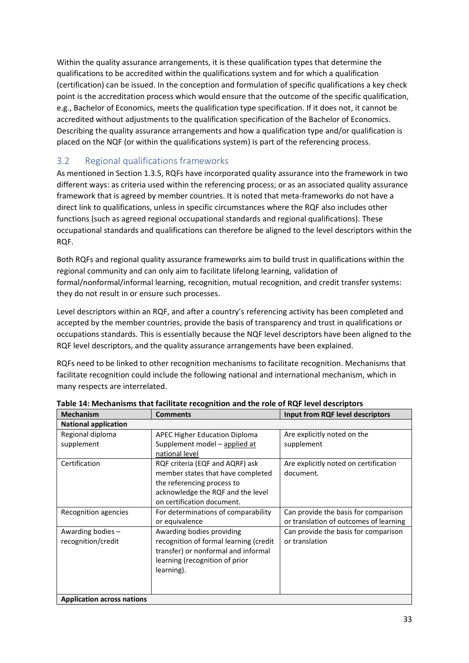Within the quality assurance arrangements, it is these qualification types that determine the qualifications to be accredited within the qualifications system and for which a qualification (certification) can be issued. In the conception and formulation of specific qualifications a key check point is the accreditation process which would ensure that the outcome of the specific qualification, e.g., Bachelor of Economics, meets the qualification type specification. If it does not, it cannot be accredited without adjustments to the qualification specification of the Bachelor of Economics. Describing the quality assurance arrangements and how a qualification type and/or qualification is placed on the NQF (or within the qualifications system) is part of the referencing process.

### <span id="page-32-0"></span>3.2 Regional qualifications frameworks

As mentioned in Section 1.3.5, RQFs have incorporated quality assurance into the framework in two different ways: as criteria used within the referencing process; or as an associated quality assurance framework that is agreed by member countries. It is noted that meta-frameworks do not have a direct link to qualifications, unless in specific circumstances where the RQF also includes other functions (such as agreed regional occupational standards and regional qualifications). These occupational standards and qualifications can therefore be aligned to the level descriptors within the RQF.

Both RQFs and regional quality assurance frameworks aim to build trust in qualifications within the regional community and can only aim to facilitate lifelong learning, validation of formal/nonformal/informal learning, recognition, mutual recognition, and credit transfer systems: they do not result in or ensure such processes.

Level descriptors within an RQF, and after a country's referencing activity has been completed and accepted by the member countries, provide the basis of transparency and trust in qualifications or occupations standards. This is essentially because the NQF level descriptors have been aligned to the RQF level descriptors, and the quality assurance arrangements have been explained.

RQFs need to be linked to other recognition mechanisms to facilitate recognition. Mechanisms that facilitate recognition could include the following national and international mechanism, which in many respects are interrelated.

| <b>Mechanism</b>                  | <b>Comments</b>                        | Input from RQF level descriptors       |
|-----------------------------------|----------------------------------------|----------------------------------------|
| <b>National application</b>       |                                        |                                        |
| Regional diploma                  | <b>APEC Higher Education Diploma</b>   | Are explicitly noted on the            |
| supplement                        | Supplement model - applied at          | supplement                             |
|                                   | national level                         |                                        |
| Certification                     | RQF criteria (EQF and AQRF) ask        | Are explicitly noted on certification  |
|                                   | member states that have completed      | document.                              |
|                                   | the referencing process to             |                                        |
|                                   | acknowledge the RQF and the level      |                                        |
|                                   | on certification document.             |                                        |
| Recognition agencies              | For determinations of comparability    | Can provide the basis for comparison   |
|                                   | or equivalence                         | or translation of outcomes of learning |
| Awarding bodies -                 | Awarding bodies providing              | Can provide the basis for comparison   |
| recognition/credit                | recognition of formal learning (credit | or translation                         |
|                                   | transfer) or nonformal and informal    |                                        |
|                                   | learning (recognition of prior         |                                        |
|                                   | learning).                             |                                        |
|                                   |                                        |                                        |
|                                   |                                        |                                        |
| <b>Application across nations</b> |                                        |                                        |

<span id="page-32-1"></span>**Table 14: Mechanisms that facilitate recognition and the role of RQF level descriptors**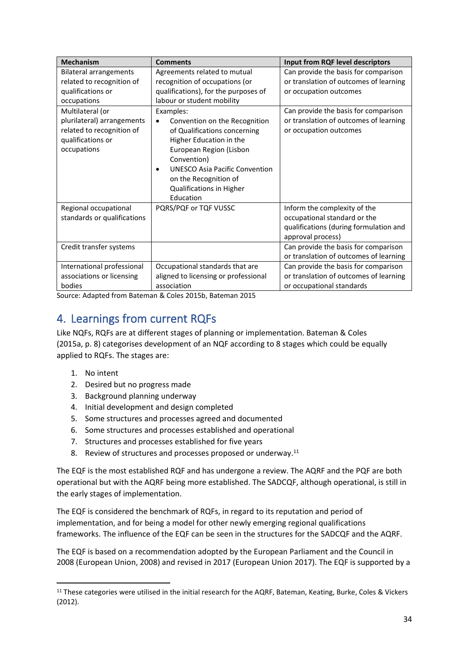| <b>Mechanism</b>              | <b>Comments</b>                            | Input from RQF level descriptors       |
|-------------------------------|--------------------------------------------|----------------------------------------|
| <b>Bilateral arrangements</b> | Agreements related to mutual               | Can provide the basis for comparison   |
| related to recognition of     | recognition of occupations (or             | or translation of outcomes of learning |
| qualifications or             | qualifications), for the purposes of       | or occupation outcomes                 |
| occupations                   | labour or student mobility                 |                                        |
| Multilateral (or              | Examples:                                  | Can provide the basis for comparison   |
| plurilateral) arrangements    | Convention on the Recognition<br>$\bullet$ | or translation of outcomes of learning |
| related to recognition of     | of Qualifications concerning               | or occupation outcomes                 |
| qualifications or             | Higher Education in the                    |                                        |
| occupations                   | European Region (Lisbon                    |                                        |
|                               | Convention)                                |                                        |
|                               | <b>UNESCO Asia Pacific Convention</b>      |                                        |
|                               | on the Recognition of                      |                                        |
|                               | Qualifications in Higher                   |                                        |
|                               | Education                                  |                                        |
| Regional occupational         | PQRS/PQF or TQF VUSSC                      | Inform the complexity of the           |
| standards or qualifications   |                                            | occupational standard or the           |
|                               |                                            | qualifications (during formulation and |
|                               |                                            | approval process)                      |
| Credit transfer systems       |                                            | Can provide the basis for comparison   |
|                               |                                            | or translation of outcomes of learning |
| International professional    | Occupational standards that are            | Can provide the basis for comparison   |
| associations or licensing     | aligned to licensing or professional       | or translation of outcomes of learning |
| bodies                        | association                                | or occupational standards              |

Source: Adapted from Bateman & Coles 2015b, Bateman 2015

### <span id="page-33-0"></span>4. Learnings from current RQFs

Like NQFs, RQFs are at different stages of planning or implementation. Bateman & Coles (2015a, p. 8) categorises development of an NQF according to 8 stages which could be equally applied to RQFs. The stages are:

- 1. No intent
- 2. Desired but no progress made
- 3. Background planning underway
- 4. Initial development and design completed
- 5. Some structures and processes agreed and documented
- 6. Some structures and processes established and operational
- 7. Structures and processes established for five years
- 8. Review of structures and processes proposed or underway.<sup>11</sup>

The EQF is the most established RQF and has undergone a review. The AQRF and the PQF are both operational but with the AQRF being more established. The SADCQF, although operational, is still in the early stages of implementation.

The EQF is considered the benchmark of RQFs, in regard to its reputation and period of implementation, and for being a model for other newly emerging regional qualifications frameworks. The influence of the EQF can be seen in the structures for the SADCQF and the AQRF.

The EQF is based on a recommendation adopted by the European Parliament and the Council in 2008 (European Union, 2008) and revised in 2017 (European Union 2017). The EQF is supported by a

<sup>&</sup>lt;sup>11</sup> These categories were utilised in the initial research for the AQRF. Bateman, Keating, Burke, Coles & Vickers (2012).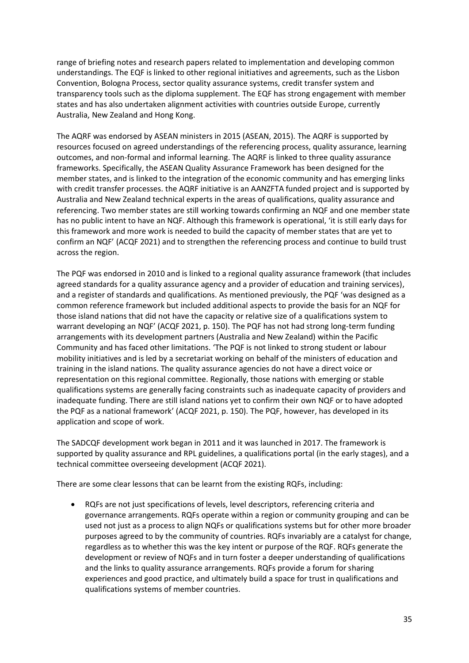range of briefing notes and research papers related to implementation and developing common understandings. The EQF is linked to other regional initiatives and agreements, such as the Lisbon Convention, Bologna Process, sector quality assurance systems, credit transfer system and transparency tools such as the diploma supplement. The EQF has strong engagement with member states and has also undertaken alignment activities with countries outside Europe, currently Australia, New Zealand and Hong Kong.

The AQRF was endorsed by ASEAN ministers in 2015 (ASEAN, 2015). The AQRF is supported by resources focused on agreed understandings of the referencing process, quality assurance, learning outcomes, and non-formal and informal learning. The AQRF is linked to three quality assurance frameworks. Specifically, the ASEAN Quality Assurance Framework has been designed for the member states, and is linked to the integration of the economic community and has emerging links with credit transfer processes. the AQRF initiative is an AANZFTA funded project and is supported by Australia and New Zealand technical experts in the areas of qualifications, quality assurance and referencing. Two member states are still working towards confirming an NQF and one member state has no public intent to have an NQF. Although this framework is operational, 'it is still early days for this framework and more work is needed to build the capacity of member states that are yet to confirm an NQF' (ACQF 2021) and to strengthen the referencing process and continue to build trust across the region.

The PQF was endorsed in 2010 and is linked to a regional quality assurance framework (that includes agreed standards for a quality assurance agency and a provider of education and training services), and a register of standards and qualifications. As mentioned previously, the PQF 'was designed as a common reference framework but included additional aspects to provide the basis for an NQF for those island nations that did not have the capacity or relative size of a qualifications system to warrant developing an NQF' (ACQF 2021, p. 150). The PQF has not had strong long-term funding arrangements with its development partners (Australia and New Zealand) within the Pacific Community and has faced other limitations. 'The PQF is not linked to strong student or labour mobility initiatives and is led by a secretariat working on behalf of the ministers of education and training in the island nations. The quality assurance agencies do not have a direct voice or representation on this regional committee. Regionally, those nations with emerging or stable qualifications systems are generally facing constraints such as inadequate capacity of providers and inadequate funding. There are still island nations yet to confirm their own NQF or to have adopted the PQF as a national framework' (ACQF 2021, p. 150). The PQF, however, has developed in its application and scope of work.

The SADCQF development work began in 2011 and it was launched in 2017. The framework is supported by quality assurance and RPL guidelines, a qualifications portal (in the early stages), and a technical committee overseeing development (ACQF 2021).

There are some clear lessons that can be learnt from the existing RQFs, including:

• RQFs are not just specifications of levels, level descriptors, referencing criteria and governance arrangements. RQFs operate within a region or community grouping and can be used not just as a process to align NQFs or qualifications systems but for other more broader purposes agreed to by the community of countries. RQFs invariably are a catalyst for change, regardless as to whether this was the key intent or purpose of the RQF. RQFs generate the development or review of NQFs and in turn foster a deeper understanding of qualifications and the links to quality assurance arrangements. RQFs provide a forum for sharing experiences and good practice, and ultimately build a space for trust in qualifications and qualifications systems of member countries.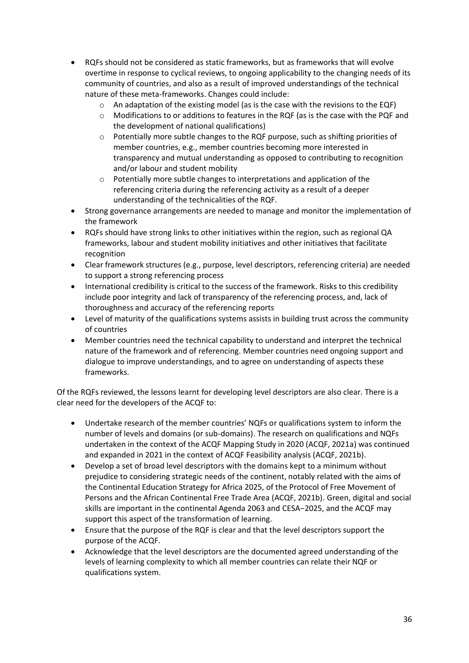- RQFs should not be considered as static frameworks, but as frameworks that will evolve overtime in response to cyclical reviews, to ongoing applicability to the changing needs of its community of countries, and also as a result of improved understandings of the technical nature of these meta-frameworks. Changes could include:
	- $\circ$  An adaptation of the existing model (as is the case with the revisions to the EQF)
	- $\circ$  Modifications to or additions to features in the RQF (as is the case with the PQF and the development of national qualifications)
	- $\circ$  Potentially more subtle changes to the RQF purpose, such as shifting priorities of member countries, e.g., member countries becoming more interested in transparency and mutual understanding as opposed to contributing to recognition and/or labour and student mobility
	- o Potentially more subtle changes to interpretations and application of the referencing criteria during the referencing activity as a result of a deeper understanding of the technicalities of the RQF.
- Strong governance arrangements are needed to manage and monitor the implementation of the framework
- RQFs should have strong links to other initiatives within the region, such as regional QA frameworks, labour and student mobility initiatives and other initiatives that facilitate recognition
- Clear framework structures (e.g., purpose, level descriptors, referencing criteria) are needed to support a strong referencing process
- International credibility is critical to the success of the framework. Risks to this credibility include poor integrity and lack of transparency of the referencing process, and, lack of thoroughness and accuracy of the referencing reports
- Level of maturity of the qualifications systems assists in building trust across the community of countries
- Member countries need the technical capability to understand and interpret the technical nature of the framework and of referencing. Member countries need ongoing support and dialogue to improve understandings, and to agree on understanding of aspects these frameworks.

Of the RQFs reviewed, the lessons learnt for developing level descriptors are also clear. There is a clear need for the developers of the ACQF to:

- Undertake research of the member countries' NQFs or qualifications system to inform the number of levels and domains (or sub-domains). The research on qualifications and NQFs undertaken in the context of the ACQF Mapping Study in 2020 (ACQF, 2021a) was continued and expanded in 2021 in the context of ACQF Feasibility analysis (ACQF, 2021b).
- Develop a set of broad level descriptors with the domains kept to a minimum without prejudice to considering strategic needs of the continent, notably related with the aims of the Continental Education Strategy for Africa 2025, of the Protocol of Free Movement of Persons and the African Continental Free Trade Area (ACQF, 2021b). Green, digital and social skills are important in the continental Agenda 2063 and CESA−2025, and the ACQF may support this aspect of the transformation of learning.
- Ensure that the purpose of the RQF is clear and that the level descriptors support the purpose of the ACQF.
- Acknowledge that the level descriptors are the documented agreed understanding of the levels of learning complexity to which all member countries can relate their NQF or qualifications system.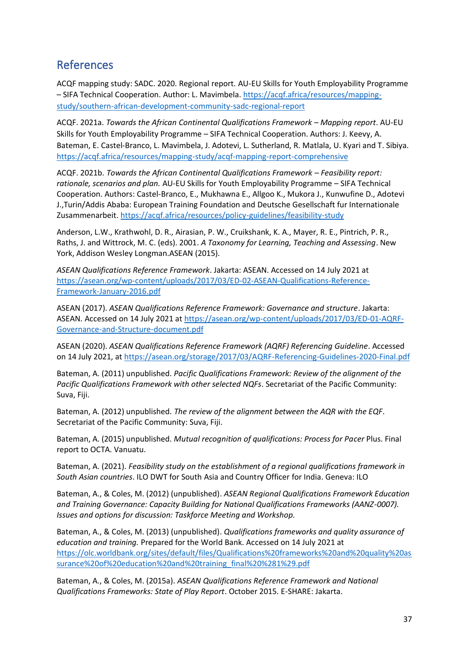### <span id="page-36-0"></span>References

ACQF mapping study: SADC. 2020. Regional report. AU-EU Skills for Youth Employability Programme – SIFA Technical Cooperation. Author: L. Mavimbela. [https://acqf.africa/resources/mapping](https://acqf.africa/resources/mapping-study/southern-african-development-community-sadc-regional-report)[study/southern-african-development-community-sadc-regional-report](https://acqf.africa/resources/mapping-study/southern-african-development-community-sadc-regional-report)

ACQF. 2021a. *Towards the African Continental Qualifications Framework – Mapping report*. AU-EU Skills for Youth Employability Programme – SIFA Technical Cooperation. Authors: J. Keevy, A. Bateman, E. Castel-Branco, L. Mavimbela, J. Adotevi, L. Sutherland, R. Matlala, U. Kyari and T. Sibiya. <https://acqf.africa/resources/mapping-study/acqf-mapping-report-comprehensive>

ACQF. 2021b. *Towards the African Continental Qualifications Framework – Feasibility report: rationale, scenarios and plan.* AU-EU Skills for Youth Employability Programme – SIFA Technical Cooperation. Authors: Castel-Branco, E., Mukhawna E., Allgoo K., Mukora J., Kunwufine D., Adotevi J.,Turin/Addis Ababa: European Training Foundation and Deutsche Gesellschaft fur Internationale Zusammenarbeit.<https://acqf.africa/resources/policy-guidelines/feasibility-study>

Anderson, L.W., Krathwohl, D. R., Airasian, P. W., Cruikshank, K. A., Mayer, R. E., Pintrich, P. R., Raths, J. and Wittrock, M. C. (eds). 2001. *A Taxonomy for Learning, Teaching and Assessing*. New York, Addison Wesley Longman.ASEAN (2015).

*ASEAN Qualifications Reference Framework*. Jakarta: ASEAN. Accessed on 14 July 2021 at [https://asean.org/wp-content/uploads/2017/03/ED-02-ASEAN-Qualifications-Reference-](https://asean.org/wp-content/uploads/2017/03/ED-02-ASEAN-Qualifications-Reference-Framework-January-2016.pdf)[Framework-January-2016.pdf](https://asean.org/wp-content/uploads/2017/03/ED-02-ASEAN-Qualifications-Reference-Framework-January-2016.pdf)

ASEAN (2017). *ASEAN Qualifications Reference Framework: Governance and structure*. Jakarta: ASEAN. Accessed on 14 July 2021 at [https://asean.org/wp-content/uploads/2017/03/ED-01-AQRF-](https://asean.org/wp-content/uploads/2017/03/ED-01-AQRF-Governance-and-Structure-document.pdf)[Governance-and-Structure-document.pdf](https://asean.org/wp-content/uploads/2017/03/ED-01-AQRF-Governance-and-Structure-document.pdf)

ASEAN (2020). *ASEAN Qualifications Reference Framework (AQRF) Referencing Guideline*. Accessed on 14 July 2021, at<https://asean.org/storage/2017/03/AQRF-Referencing-Guidelines-2020-Final.pdf>

Bateman, A. (2011) unpublished. *Pacific Qualifications Framework: Review of the alignment of the Pacific Qualifications Framework with other selected NQFs*. Secretariat of the Pacific Community: Suva, Fiji.

Bateman, A. (2012) unpublished. *The review of the alignment between the AQR with the EQF*. Secretariat of the Pacific Community: Suva, Fiji.

Bateman, A. (2015) unpublished. *Mutual recognition of qualifications: Process for Pacer* Plus. Final report to OCTA. Vanuatu.

Bateman, A. (2021). *Feasibility study on the establishment of a regional qualifications framework in South Asian countries*. ILO DWT for South Asia and Country Officer for India. Geneva: ILO

Bateman, A., & Coles, M. (2012) (unpublished). *ASEAN Regional Qualifications Framework Education and Training Governance: Capacity Building for National Qualifications Frameworks (AANZ-0007). Issues and options for discussion: Taskforce Meeting and Workshop.*

Bateman, A., & Coles, M. (2013) (unpublished). *Qualifications frameworks and quality assurance of education and training.* Prepared for the World Bank. Accessed on 14 July 2021 at [https://olc.worldbank.org/sites/default/files/Qualifications%20frameworks%20and%20quality%20as](https://olc.worldbank.org/sites/default/files/Qualifications%20frameworks%20and%20quality%20assurance%20of%20education%20and%20training_final%20%281%29.pdf) [surance%20of%20education%20and%20training\\_final%20%281%29.pdf](https://olc.worldbank.org/sites/default/files/Qualifications%20frameworks%20and%20quality%20assurance%20of%20education%20and%20training_final%20%281%29.pdf)

Bateman, A., & Coles, M. (2015a). *ASEAN Qualifications Reference Framework and National Qualifications Frameworks: State of Play Report*. October 2015. E-SHARE: Jakarta.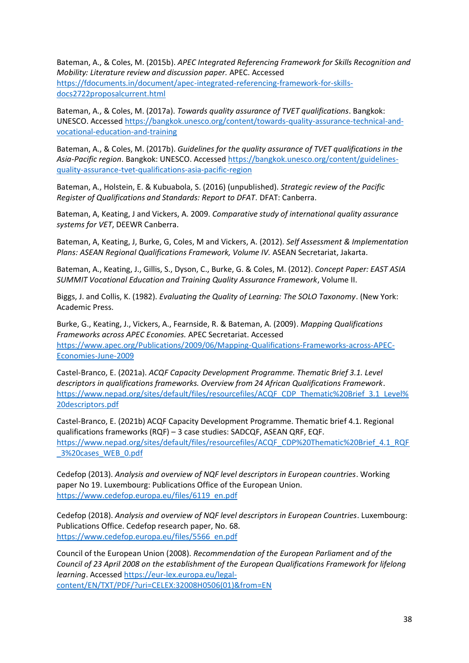Bateman, A., & Coles, M. (2015b). *APEC Integrated Referencing Framework for Skills Recognition and Mobility: Literature review and discussion paper.* APEC. Accessed [https://fdocuments.in/document/apec-integrated-referencing-framework-for-skills](https://fdocuments.in/document/apec-integrated-referencing-framework-for-skills-docs2722proposalcurrent.html)[docs2722proposalcurrent.html](https://fdocuments.in/document/apec-integrated-referencing-framework-for-skills-docs2722proposalcurrent.html)

Bateman, A., & Coles, M. (2017a). *Towards quality assurance of TVET qualifications*. Bangkok: UNESCO. Accessed [https://bangkok.unesco.org/content/towards-quality-assurance-technical-and](https://bangkok.unesco.org/content/towards-quality-assurance-technical-and-vocational-education-and-training)[vocational-education-and-training](https://bangkok.unesco.org/content/towards-quality-assurance-technical-and-vocational-education-and-training)

Bateman, A., & Coles, M. (2017b). *Guidelines for the quality assurance of TVET qualifications in the Asia-Pacific region*. Bangkok: UNESCO. Accesse[d https://bangkok.unesco.org/content/guidelines](https://bangkok.unesco.org/content/guidelines-quality-assurance-tvet-qualifications-asia-pacific-region)[quality-assurance-tvet-qualifications-asia-pacific-region](https://bangkok.unesco.org/content/guidelines-quality-assurance-tvet-qualifications-asia-pacific-region)

Bateman, A., Holstein, E. & Kubuabola, S. (2016) (unpublished). *Strategic review of the Pacific Register of Qualifications and Standards: Report to DFAT*. DFAT: Canberra.

Bateman, A, Keating, J and Vickers, A. 2009. *Comparative study of international quality assurance systems for VET*, DEEWR Canberra.

Bateman, A, Keating, J, Burke, G, Coles, M and Vickers, A. (2012). *Self Assessment & Implementation Plans: ASEAN Regional Qualifications Framework, Volume IV.* ASEAN Secretariat, Jakarta.

Bateman, A., Keating, J., Gillis, S., Dyson, C., Burke, G. & Coles, M. (2012). *Concept Paper: EAST ASIA SUMMIT Vocational Education and Training Quality Assurance Framework*, Volume II.

Biggs, J. and Collis, K. (1982). *Evaluating the Quality of Learning: The SOLO Taxonomy*. (New York: Academic Press.

Burke, G., Keating, J., Vickers, A., Fearnside, R. & Bateman, A. (2009). *Mapping Qualifications Frameworks across APEC Economies.* APEC Secretariat. Accessed [https://www.apec.org/Publications/2009/06/Mapping-Qualifications-Frameworks-across-APEC-](https://www.apec.org/Publications/2009/06/Mapping-Qualifications-Frameworks-across-APEC-Economies-June-2009)[Economies-June-2009](https://www.apec.org/Publications/2009/06/Mapping-Qualifications-Frameworks-across-APEC-Economies-June-2009)

Castel-Branco, E. (2021a). *ACQF Capacity Development Programme. Thematic Brief 3.1. Level descriptors in qualifications frameworks. Overview from 24 African Qualifications Framework*. [https://www.nepad.org/sites/default/files/resourcefiles/ACQF\\_CDP\\_Thematic%20Brief\\_3.1\\_Level%](https://www.nepad.org/sites/default/files/resourcefiles/ACQF_CDP_Thematic%20Brief_3.1_Level%20descriptors.pdf) [20descriptors.pdf](https://www.nepad.org/sites/default/files/resourcefiles/ACQF_CDP_Thematic%20Brief_3.1_Level%20descriptors.pdf)

Castel-Branco, E. (2021b) ACQF Capacity Development Programme. Thematic brief 4.1. Regional qualifications frameworks (RQF) – 3 case studies: SADCQF, ASEAN QRF, EQF. [https://www.nepad.org/sites/default/files/resourcefiles/ACQF\\_CDP%20Thematic%20Brief\\_4.1\\_RQF](https://www.nepad.org/sites/default/files/resourcefiles/ACQF_CDP%20Thematic%20Brief_4.1_RQF_3%20cases_WEB_0.pdf) [\\_3%20cases\\_WEB\\_0.pdf](https://www.nepad.org/sites/default/files/resourcefiles/ACQF_CDP%20Thematic%20Brief_4.1_RQF_3%20cases_WEB_0.pdf)

Cedefop (2013). *Analysis and overview of NQF level descriptors in European countries*. Working paper No 19. Luxembourg: Publications Office of the European Union. [https://www.cedefop.europa.eu/files/6119\\_en.pdf](https://www.cedefop.europa.eu/files/6119_en.pdf)

Cedefop (2018). *Analysis and overview of NQF level descriptors in European Countries*. Luxembourg: Publications Office. Cedefop research paper, No. 68. [https://www.cedefop.europa.eu/files/5566\\_en.pdf](https://www.cedefop.europa.eu/files/5566_en.pdf)

Council of the European Union (2008). *Recommendation of the European Parliament and of the Council of 23 April 2008 on the establishment of the European Qualifications Framework for lifelong learning*. Accesse[d https://eur-lex.europa.eu/legal](https://eur-lex.europa.eu/legal-content/EN/TXT/PDF/?uri=CELEX:32008H0506(01)&from=EN)[content/EN/TXT/PDF/?uri=CELEX:32008H0506\(01\)&from=EN](https://eur-lex.europa.eu/legal-content/EN/TXT/PDF/?uri=CELEX:32008H0506(01)&from=EN)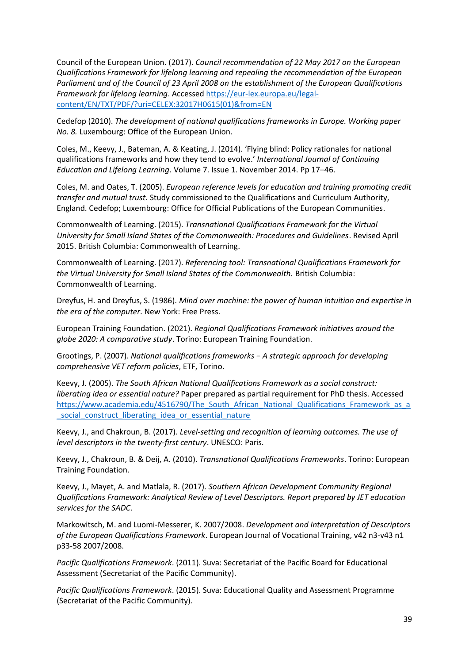Council of the European Union. (2017). *Council recommendation of 22 May 2017 on the European Qualifications Framework for lifelong learning and repealing the recommendation of the European Parliament and of the Council of 23 April 2008 on the establishment of the European Qualifications Framework for lifelong learning*. Accesse[d https://eur-lex.europa.eu/legal](https://eur-lex.europa.eu/legal-content/EN/TXT/PDF/?uri=CELEX:32017H0615(01)&from=EN)[content/EN/TXT/PDF/?uri=CELEX:32017H0615\(01\)&from=EN](https://eur-lex.europa.eu/legal-content/EN/TXT/PDF/?uri=CELEX:32017H0615(01)&from=EN)

Cedefop (2010). *The development of national qualifications frameworks in Europe. Working paper No. 8.* Luxembourg: Office of the European Union.

Coles, M., Keevy, J., Bateman, A. & Keating, J. (2014). 'Flying blind: Policy rationales for national qualifications frameworks and how they tend to evolve.' *International Journal of Continuing Education and Lifelong Learning*. Volume 7. Issue 1. November 2014. Pp 17–46.

Coles, M. and Oates, T. (2005). *European reference levels for education and training promoting credit transfer and mutual trust.* Study commissioned to the Qualifications and Curriculum Authority, England. Cedefop; Luxembourg: Office for Official Publications of the European Communities.

Commonwealth of Learning. (2015). *Transnational Qualifications Framework for the Virtual University for Small Island States of the Commonwealth: Procedures and Guidelines*. Revised April 2015. British Columbia: Commonwealth of Learning.

Commonwealth of Learning. (2017). *Referencing tool: Transnational Qualifications Framework for the Virtual University for Small Island States of the Commonwealth.* British Columbia: Commonwealth of Learning.

Dreyfus, H. and Dreyfus, S. (1986). *Mind over machine: the power of human intuition and expertise in the era of the computer*. New York: Free Press.

European Training Foundation. (2021). *Regional Qualifications Framework initiatives around the globe 2020: A comparative study*. Torino: European Training Foundation.

Grootings, P. (2007). *National qualifications frameworks − A strategic approach for developing comprehensive VET reform policies*, ETF, Torino.

Keevy, J. (2005). *The South African National Qualifications Framework as a social construct: liberating idea or essential nature?* Paper prepared as partial requirement for PhD thesis. Accessed https://www.academia.edu/4516790/The South African National Qualifications Framework as a [\\_social\\_construct\\_liberating\\_idea\\_or\\_essential\\_nature](https://www.academia.edu/4516790/The_South_African_National_Qualifications_Framework_as_a_social_construct_liberating_idea_or_essential_nature)

Keevy, J., and Chakroun, B. (2017). *Level-setting and recognition of learning outcomes. The use of level descriptors in the twenty-first century*. UNESCO: Paris.

Keevy, J., Chakroun, B. & Deij, A. (2010). *Transnational Qualifications Frameworks*. Torino: European Training Foundation.

Keevy, J., Mayet, A. and Matlala, R. (2017). *Southern African Development Community Regional Qualifications Framework: Analytical Review of Level Descriptors. Report prepared by JET education services for the SADC*.

Markowitsch, M. and Luomi-Messerer, K. 2007/2008. *Development and Interpretation of Descriptors of the European Qualifications Framework*. European Journal of Vocational Training, v42 n3-v43 n1 p33-58 2007/2008.

*Pacific Qualifications Framework*. (2011). Suva: Secretariat of the Pacific Board for Educational Assessment (Secretariat of the Pacific Community).

*Pacific Qualifications Framework*. (2015). Suva: Educational Quality and Assessment Programme (Secretariat of the Pacific Community).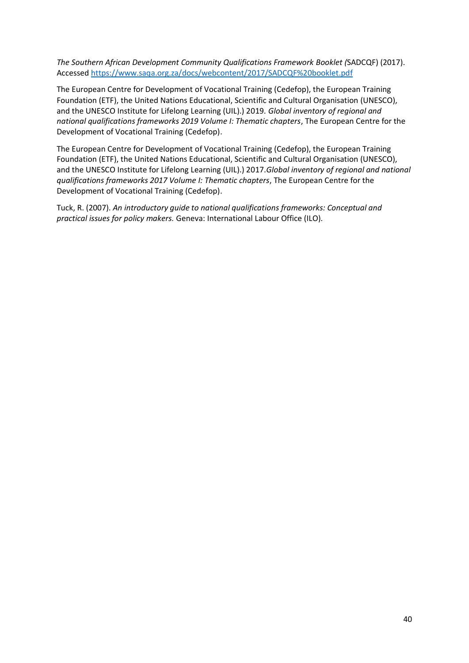*The Southern African Development Community Qualifications Framework Booklet (*SADCQF) (2017). Accesse[d https://www.saqa.org.za/docs/webcontent/2017/SADCQF%20booklet.pdf](https://www.saqa.org.za/docs/webcontent/2017/SADCQF%20booklet.pdf)

The European Centre for Development of Vocational Training (Cedefop), the European Training Foundation (ETF), the United Nations Educational, Scientific and Cultural Organisation (UNESCO), and the UNESCO Institute for Lifelong Learning (UIL).) 2019. *Global inventory of regional and national qualifications frameworks 2019 Volume I: Thematic chapters*, The European Centre for the Development of Vocational Training (Cedefop).

The European Centre for Development of Vocational Training (Cedefop), the European Training Foundation (ETF), the United Nations Educational, Scientific and Cultural Organisation (UNESCO), and the UNESCO Institute for Lifelong Learning (UIL).) 2017.*Global inventory of regional and national qualifications frameworks 2017 Volume I: Thematic chapters*, The European Centre for the Development of Vocational Training (Cedefop).

Tuck, R. (2007). *An introductory guide to national qualifications frameworks: Conceptual and practical issues for policy makers.* Geneva: International Labour Office (ILO).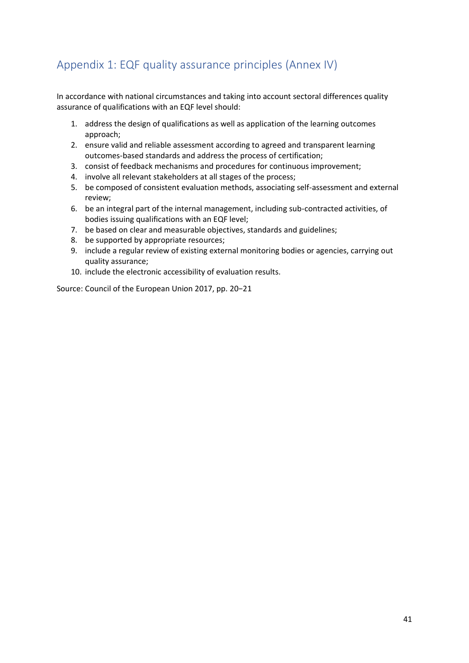### <span id="page-40-0"></span>Appendix 1: EQF quality assurance principles (Annex IV)

In accordance with national circumstances and taking into account sectoral differences quality assurance of qualifications with an EQF level should:

- 1. address the design of qualifications as well as application of the learning outcomes approach;
- 2. ensure valid and reliable assessment according to agreed and transparent learning outcomes-based standards and address the process of certification;
- 3. consist of feedback mechanisms and procedures for continuous improvement;
- 4. involve all relevant stakeholders at all stages of the process;
- 5. be composed of consistent evaluation methods, associating self-assessment and external review;
- 6. be an integral part of the internal management, including sub-contracted activities, of bodies issuing qualifications with an EQF level;
- 7. be based on clear and measurable objectives, standards and guidelines;
- 8. be supported by appropriate resources;
- 9. include a regular review of existing external monitoring bodies or agencies, carrying out quality assurance;
- 10. include the electronic accessibility of evaluation results.

Source: Council of the European Union 2017, pp. 20−21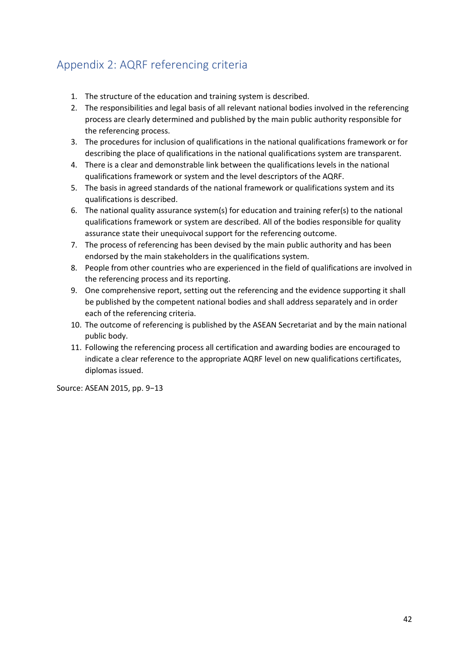### <span id="page-41-0"></span>Appendix 2: AQRF referencing criteria

- 1. The structure of the education and training system is described.
- 2. The responsibilities and legal basis of all relevant national bodies involved in the referencing process are clearly determined and published by the main public authority responsible for the referencing process.
- 3. The procedures for inclusion of qualifications in the national qualifications framework or for describing the place of qualifications in the national qualifications system are transparent.
- 4. There is a clear and demonstrable link between the qualifications levels in the national qualifications framework or system and the level descriptors of the AQRF.
- 5. The basis in agreed standards of the national framework or qualifications system and its qualifications is described.
- 6. The national quality assurance system(s) for education and training refer(s) to the national qualifications framework or system are described. All of the bodies responsible for quality assurance state their unequivocal support for the referencing outcome.
- 7. The process of referencing has been devised by the main public authority and has been endorsed by the main stakeholders in the qualifications system.
- 8. People from other countries who are experienced in the field of qualifications are involved in the referencing process and its reporting.
- 9. One comprehensive report, setting out the referencing and the evidence supporting it shall be published by the competent national bodies and shall address separately and in order each of the referencing criteria.
- 10. The outcome of referencing is published by the ASEAN Secretariat and by the main national public body.
- 11. Following the referencing process all certification and awarding bodies are encouraged to indicate a clear reference to the appropriate AQRF level on new qualifications certificates, diplomas issued.

Source: ASEAN 2015, pp. 9−13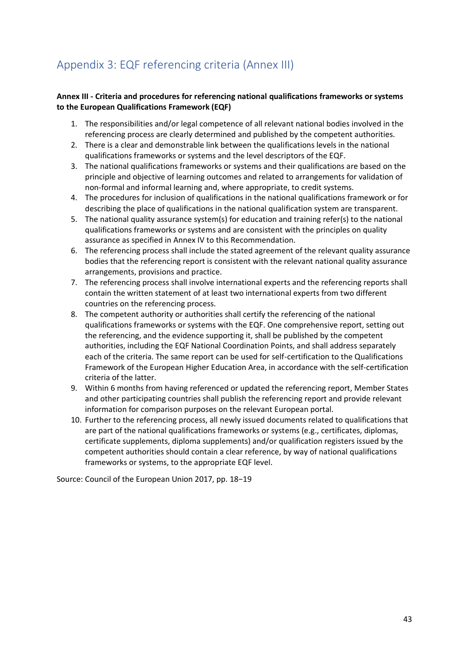# <span id="page-42-0"></span>Appendix 3: EQF referencing criteria (Annex III)

#### **Annex III - Criteria and procedures for referencing national qualifications frameworks or systems to the European Qualifications Framework (EQF)**

- 1. The responsibilities and/or legal competence of all relevant national bodies involved in the referencing process are clearly determined and published by the competent authorities.
- 2. There is a clear and demonstrable link between the qualifications levels in the national qualifications frameworks or systems and the level descriptors of the EQF.
- 3. The national qualifications frameworks or systems and their qualifications are based on the principle and objective of learning outcomes and related to arrangements for validation of non-formal and informal learning and, where appropriate, to credit systems.
- 4. The procedures for inclusion of qualifications in the national qualifications framework or for describing the place of qualifications in the national qualification system are transparent.
- 5. The national quality assurance system(s) for education and training refer(s) to the national qualifications frameworks or systems and are consistent with the principles on quality assurance as specified in Annex IV to this Recommendation.
- 6. The referencing process shall include the stated agreement of the relevant quality assurance bodies that the referencing report is consistent with the relevant national quality assurance arrangements, provisions and practice.
- 7. The referencing process shall involve international experts and the referencing reports shall contain the written statement of at least two international experts from two different countries on the referencing process.
- 8. The competent authority or authorities shall certify the referencing of the national qualifications frameworks or systems with the EQF. One comprehensive report, setting out the referencing, and the evidence supporting it, shall be published by the competent authorities, including the EQF National Coordination Points, and shall address separately each of the criteria. The same report can be used for self-certification to the Qualifications Framework of the European Higher Education Area, in accordance with the self-certification criteria of the latter.
- 9. Within 6 months from having referenced or updated the referencing report, Member States and other participating countries shall publish the referencing report and provide relevant information for comparison purposes on the relevant European portal.
- 10. Further to the referencing process, all newly issued documents related to qualifications that are part of the national qualifications frameworks or systems (e.g., certificates, diplomas, certificate supplements, diploma supplements) and/or qualification registers issued by the competent authorities should contain a clear reference, by way of national qualifications frameworks or systems, to the appropriate EQF level.

Source: Council of the European Union 2017, pp. 18−19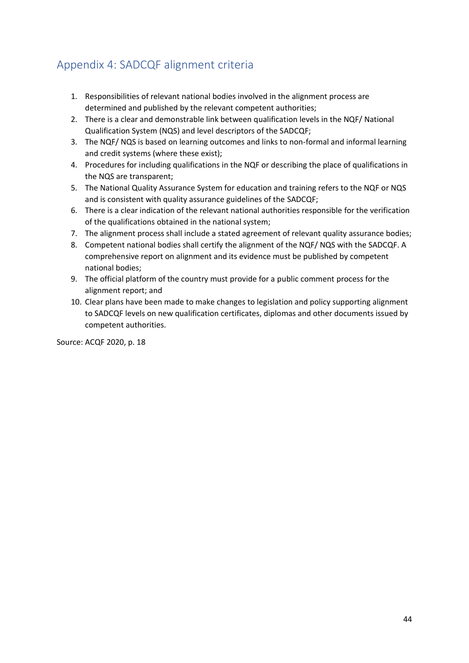### <span id="page-43-0"></span>Appendix 4: SADCQF alignment criteria

- 1. Responsibilities of relevant national bodies involved in the alignment process are determined and published by the relevant competent authorities;
- 2. There is a clear and demonstrable link between qualification levels in the NQF/ National Qualification System (NQS) and level descriptors of the SADCQF;
- 3. The NQF/ NQS is based on learning outcomes and links to non-formal and informal learning and credit systems (where these exist);
- 4. Procedures for including qualifications in the NQF or describing the place of qualifications in the NQS are transparent;
- 5. The National Quality Assurance System for education and training refers to the NQF or NQS and is consistent with quality assurance guidelines of the SADCQF;
- 6. There is a clear indication of the relevant national authorities responsible for the verification of the qualifications obtained in the national system;
- 7. The alignment process shall include a stated agreement of relevant quality assurance bodies;
- 8. Competent national bodies shall certify the alignment of the NQF/ NQS with the SADCQF. A comprehensive report on alignment and its evidence must be published by competent national bodies;
- 9. The official platform of the country must provide for a public comment process for the alignment report; and
- 10. Clear plans have been made to make changes to legislation and policy supporting alignment to SADCQF levels on new qualification certificates, diplomas and other documents issued by competent authorities.

Source: ACQF 2020, p. 18